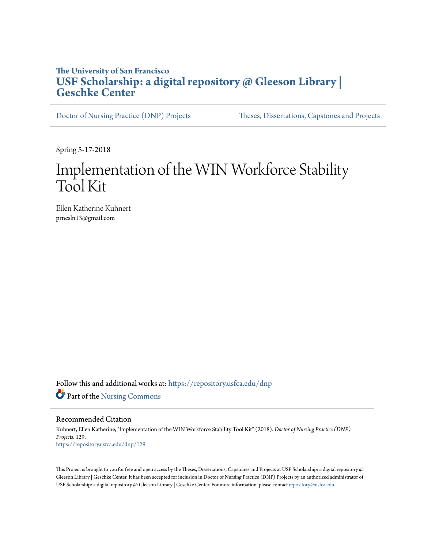# **The University of San Francisco [USF Scholarship: a digital repository @ Gleeson Library |](https://repository.usfca.edu?utm_source=repository.usfca.edu%2Fdnp%2F129&utm_medium=PDF&utm_campaign=PDFCoverPages) [Geschke Center](https://repository.usfca.edu?utm_source=repository.usfca.edu%2Fdnp%2F129&utm_medium=PDF&utm_campaign=PDFCoverPages)**

[Doctor of Nursing Practice \(DNP\) Projects](https://repository.usfca.edu/dnp?utm_source=repository.usfca.edu%2Fdnp%2F129&utm_medium=PDF&utm_campaign=PDFCoverPages) [Theses, Dissertations, Capstones and Projects](https://repository.usfca.edu/etd?utm_source=repository.usfca.edu%2Fdnp%2F129&utm_medium=PDF&utm_campaign=PDFCoverPages)

Spring 5-17-2018

# Implementation of the WIN Workforce Stability Tool Kit

Ellen Katherine Kuhnert prncsln13@gmail.com

Follow this and additional works at: [https://repository.usfca.edu/dnp](https://repository.usfca.edu/dnp?utm_source=repository.usfca.edu%2Fdnp%2F129&utm_medium=PDF&utm_campaign=PDFCoverPages) Part of the [Nursing Commons](http://network.bepress.com/hgg/discipline/718?utm_source=repository.usfca.edu%2Fdnp%2F129&utm_medium=PDF&utm_campaign=PDFCoverPages)

Recommended Citation

Kuhnert, Ellen Katherine, "Implementation of the WIN Workforce Stability Tool Kit" (2018). *Doctor of Nursing Practice (DNP) Projects*. 129. [https://repository.usfca.edu/dnp/129](https://repository.usfca.edu/dnp/129?utm_source=repository.usfca.edu%2Fdnp%2F129&utm_medium=PDF&utm_campaign=PDFCoverPages)

This Project is brought to you for free and open access by the Theses, Dissertations, Capstones and Projects at USF Scholarship: a digital repository @ Gleeson Library | Geschke Center. It has been accepted for inclusion in Doctor of Nursing Practice (DNP) Projects by an authorized administrator of USF Scholarship: a digital repository @ Gleeson Library | Geschke Center. For more information, please contact [repository@usfca.edu.](mailto:repository@usfca.edu)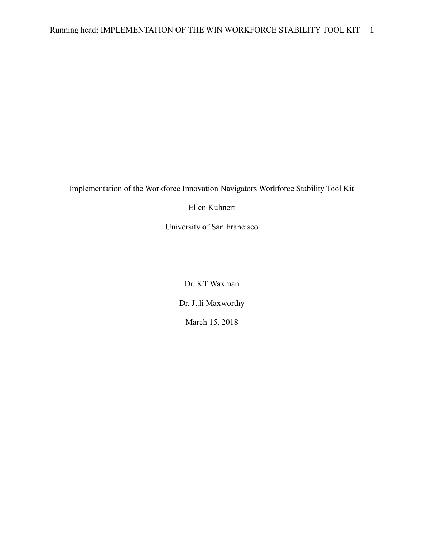Implementation of the Workforce Innovation Navigators Workforce Stability Tool Kit

Ellen Kuhnert

University of San Francisco

Dr. KT Waxman Dr. Juli Maxworthy March 15, 2018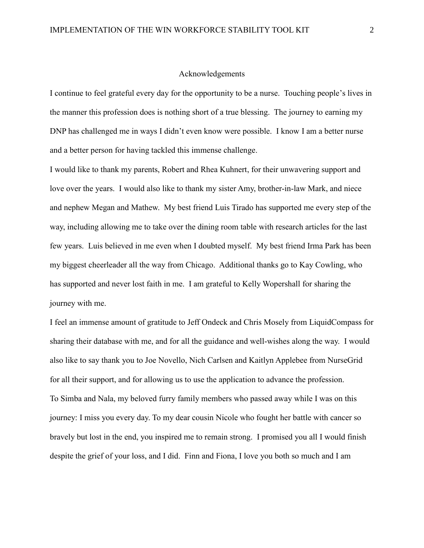#### Acknowledgements

I continue to feel grateful every day for the opportunity to be a nurse. Touching people's lives in the manner this profession does is nothing short of a true blessing. The journey to earning my DNP has challenged me in ways I didn't even know were possible. I know I am a better nurse and a better person for having tackled this immense challenge.

I would like to thank my parents, Robert and Rhea Kuhnert, for their unwavering support and love over the years. I would also like to thank my sister Amy, brother-in-law Mark, and niece and nephew Megan and Mathew. My best friend Luis Tirado has supported me every step of the way, including allowing me to take over the dining room table with research articles for the last few years. Luis believed in me even when I doubted myself. My best friend Irma Park has been my biggest cheerleader all the way from Chicago. Additional thanks go to Kay Cowling, who has supported and never lost faith in me. I am grateful to Kelly Wopershall for sharing the journey with me.

I feel an immense amount of gratitude to Jeff Ondeck and Chris Mosely from LiquidCompass for sharing their database with me, and for all the guidance and well-wishes along the way. I would also like to say thank you to Joe Novello, Nich Carlsen and Kaitlyn Applebee from NurseGrid for all their support, and for allowing us to use the application to advance the profession. To Simba and Nala, my beloved furry family members who passed away while I was on this journey: I miss you every day. To my dear cousin Nicole who fought her battle with cancer so bravely but lost in the end, you inspired me to remain strong. I promised you all I would finish despite the grief of your loss, and I did. Finn and Fiona, I love you both so much and I am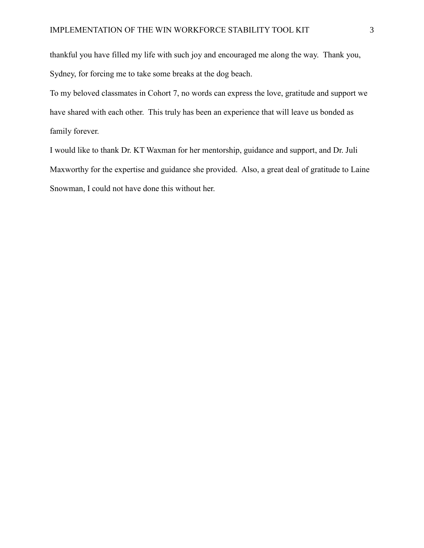thankful you have filled my life with such joy and encouraged me along the way. Thank you, Sydney, for forcing me to take some breaks at the dog beach.

To my beloved classmates in Cohort 7, no words can express the love, gratitude and support we have shared with each other. This truly has been an experience that will leave us bonded as family forever.

I would like to thank Dr. KT Waxman for her mentorship, guidance and support, and Dr. Juli Maxworthy for the expertise and guidance she provided. Also, a great deal of gratitude to Laine Snowman, I could not have done this without her.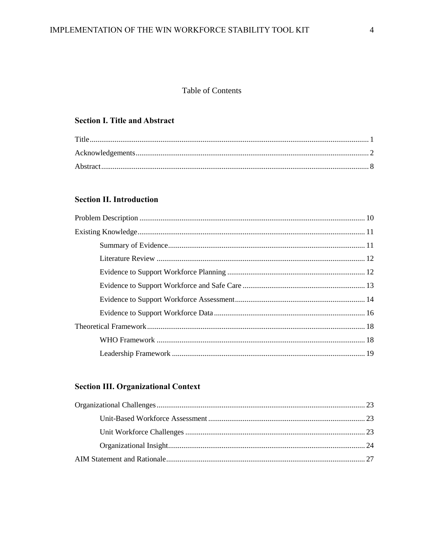## Table of Contents

## **Section I. Title and Abstract**

# **Section II. Introduction**

## **Section III. Organizational Context**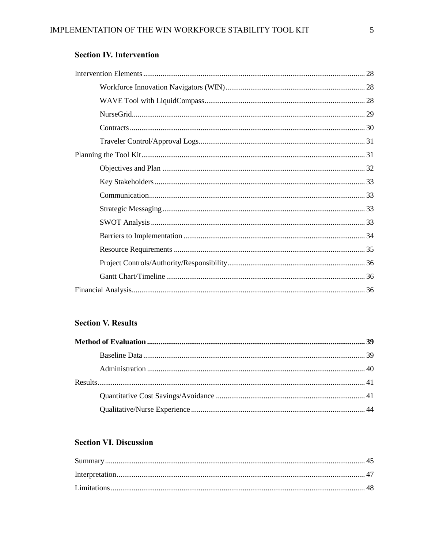# **Section IV. Intervention**

## **Section V. Results**

# **Section VI. Discussion**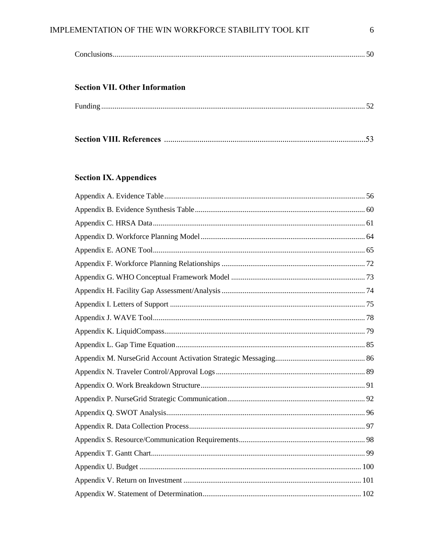## IMPLEMENTATION OF THE WIN WORKFORCE STABILITY TOOL KIT

|--|

## **Section VII. Other Information**

|--|--|

|--|--|--|

# **Section IX. Appendices**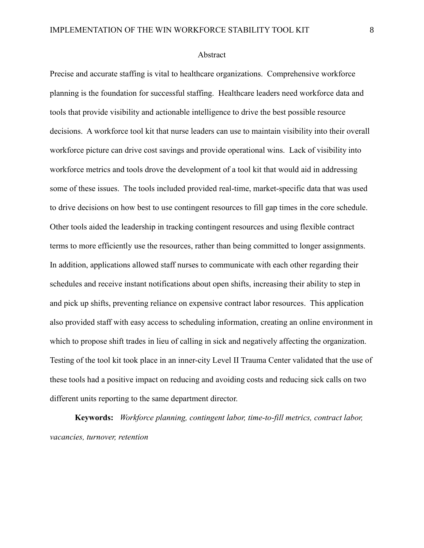#### Abstract

Precise and accurate staffing is vital to healthcare organizations. Comprehensive workforce planning is the foundation for successful staffing. Healthcare leaders need workforce data and tools that provide visibility and actionable intelligence to drive the best possible resource decisions. A workforce tool kit that nurse leaders can use to maintain visibility into their overall workforce picture can drive cost savings and provide operational wins. Lack of visibility into workforce metrics and tools drove the development of a tool kit that would aid in addressing some of these issues. The tools included provided real-time, market-specific data that was used to drive decisions on how best to use contingent resources to fill gap times in the core schedule. Other tools aided the leadership in tracking contingent resources and using flexible contract terms to more efficiently use the resources, rather than being committed to longer assignments. In addition, applications allowed staff nurses to communicate with each other regarding their schedules and receive instant notifications about open shifts, increasing their ability to step in and pick up shifts, preventing reliance on expensive contract labor resources. This application also provided staff with easy access to scheduling information, creating an online environment in which to propose shift trades in lieu of calling in sick and negatively affecting the organization. Testing of the tool kit took place in an inner-city Level II Trauma Center validated that the use of these tools had a positive impact on reducing and avoiding costs and reducing sick calls on two different units reporting to the same department director.

**Keywords:** *Workforce planning, contingent labor, time-to-fill metrics, contract labor, vacancies, turnover, retention*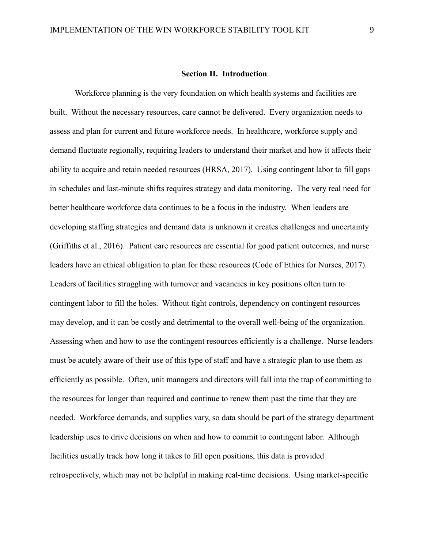#### **Section II. Introduction**

Workforce planning is the very foundation on which health systems and facilities are built. Without the necessary resources, care cannot be delivered. Every organization needs to assess and plan for current and future workforce needs. In healthcare, workforce supply and demand fluctuate regionally, requiring leaders to understand their market and how it affects their ability to acquire and retain needed resources (HRSA, 2017). Using contingent labor to fill gaps in schedules and last-minute shifts requires strategy and data monitoring. The very real need for better healthcare workforce data continues to be a focus in the industry. When leaders are developing staffing strategies and demand data is unknown it creates challenges and uncertainty (Griffiths et al., 2016). Patient care resources are essential for good patient outcomes, and nurse leaders have an ethical obligation to plan for these resources (Code of Ethics for Nurses, 2017). Leaders of facilities struggling with turnover and vacancies in key positions often turn to contingent labor to fill the holes. Without tight controls, dependency on contingent resources may develop, and it can be costly and detrimental to the overall well-being of the organization. Assessing when and how to use the contingent resources efficiently is a challenge. Nurse leaders must be acutely aware of their use of this type of staff and have a strategic plan to use them as efficiently as possible. Often, unit managers and directors will fall into the trap of committing to the resources for longer than required and continue to renew them past the time that they are needed. Workforce demands, and supplies vary, so data should be part of the strategy department leadership uses to drive decisions on when and how to commit to contingent labor. Although facilities usually track how long it takes to fill open positions, this data is provided retrospectively, which may not be helpful in making real-time decisions. Using market-specific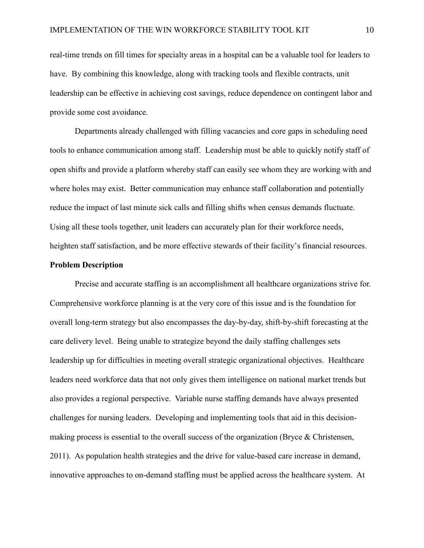real-time trends on fill times for specialty areas in a hospital can be a valuable tool for leaders to have. By combining this knowledge, along with tracking tools and flexible contracts, unit leadership can be effective in achieving cost savings, reduce dependence on contingent labor and provide some cost avoidance.

Departments already challenged with filling vacancies and core gaps in scheduling need tools to enhance communication among staff. Leadership must be able to quickly notify staff of open shifts and provide a platform whereby staff can easily see whom they are working with and where holes may exist. Better communication may enhance staff collaboration and potentially reduce the impact of last minute sick calls and filling shifts when census demands fluctuate. Using all these tools together, unit leaders can accurately plan for their workforce needs, heighten staff satisfaction, and be more effective stewards of their facility's financial resources.

#### **Problem Description**

Precise and accurate staffing is an accomplishment all healthcare organizations strive for. Comprehensive workforce planning is at the very core of this issue and is the foundation for overall long-term strategy but also encompasses the day-by-day, shift-by-shift forecasting at the care delivery level. Being unable to strategize beyond the daily staffing challenges sets leadership up for difficulties in meeting overall strategic organizational objectives. Healthcare leaders need workforce data that not only gives them intelligence on national market trends but also provides a regional perspective. Variable nurse staffing demands have always presented challenges for nursing leaders. Developing and implementing tools that aid in this decisionmaking process is essential to the overall success of the organization (Bryce & Christensen, 2011). As population health strategies and the drive for value-based care increase in demand, innovative approaches to on-demand staffing must be applied across the healthcare system. At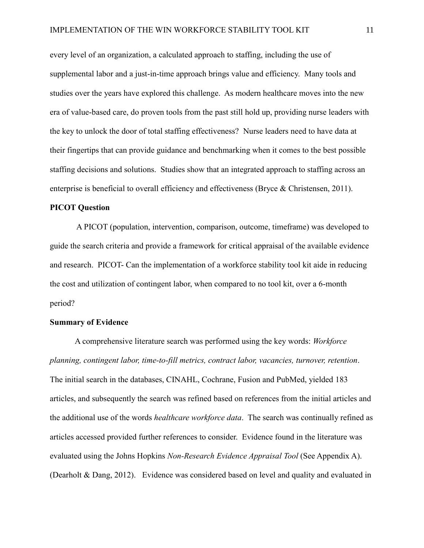every level of an organization, a calculated approach to staffing, including the use of supplemental labor and a just-in-time approach brings value and efficiency. Many tools and studies over the years have explored this challenge. As modern healthcare moves into the new era of value-based care, do proven tools from the past still hold up, providing nurse leaders with the key to unlock the door of total staffing effectiveness? Nurse leaders need to have data at their fingertips that can provide guidance and benchmarking when it comes to the best possible staffing decisions and solutions. Studies show that an integrated approach to staffing across an enterprise is beneficial to overall efficiency and effectiveness (Bryce & Christensen, 2011).

#### **PICOT Question**

A PICOT (population, intervention, comparison, outcome, timeframe) was developed to guide the search criteria and provide a framework for critical appraisal of the available evidence and research. PICOT- Can the implementation of a workforce stability tool kit aide in reducing the cost and utilization of contingent labor, when compared to no tool kit, over a 6-month period?

#### **Summary of Evidence**

A comprehensive literature search was performed using the key words: *Workforce planning, contingent labor, time-to-fill metrics, contract labor, vacancies, turnover, retention*. The initial search in the databases, CINAHL, Cochrane, Fusion and PubMed, yielded 183 articles, and subsequently the search was refined based on references from the initial articles and the additional use of the words *healthcare workforce data*. The search was continually refined as articles accessed provided further references to consider. Evidence found in the literature was evaluated using the Johns Hopkins *Non-Research Evidence Appraisal Tool* (See Appendix A). (Dearholt & Dang, 2012). Evidence was considered based on level and quality and evaluated in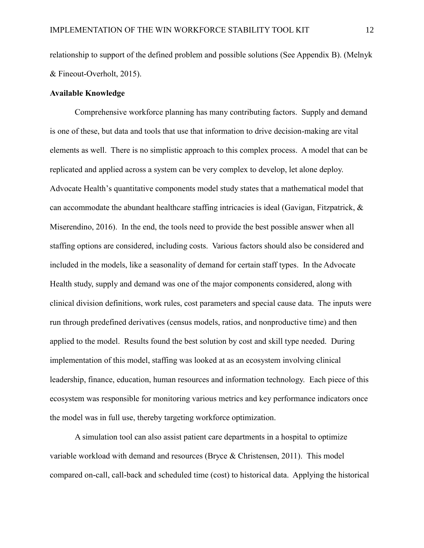relationship to support of the defined problem and possible solutions (See Appendix B). (Melnyk & Fineout-Overholt, 2015).

#### **Available Knowledge**

Comprehensive workforce planning has many contributing factors. Supply and demand is one of these, but data and tools that use that information to drive decision-making are vital elements as well. There is no simplistic approach to this complex process. A model that can be replicated and applied across a system can be very complex to develop, let alone deploy. Advocate Health's quantitative components model study states that a mathematical model that can accommodate the abundant healthcare staffing intricacies is ideal (Gavigan, Fitzpatrick, & Miserendino, 2016). In the end, the tools need to provide the best possible answer when all staffing options are considered, including costs. Various factors should also be considered and included in the models, like a seasonality of demand for certain staff types. In the Advocate Health study, supply and demand was one of the major components considered, along with clinical division definitions, work rules, cost parameters and special cause data. The inputs were run through predefined derivatives (census models, ratios, and nonproductive time) and then applied to the model. Results found the best solution by cost and skill type needed. During implementation of this model, staffing was looked at as an ecosystem involving clinical leadership, finance, education, human resources and information technology. Each piece of this ecosystem was responsible for monitoring various metrics and key performance indicators once the model was in full use, thereby targeting workforce optimization.

A simulation tool can also assist patient care departments in a hospital to optimize variable workload with demand and resources (Bryce & Christensen, 2011). This model compared on-call, call-back and scheduled time (cost) to historical data. Applying the historical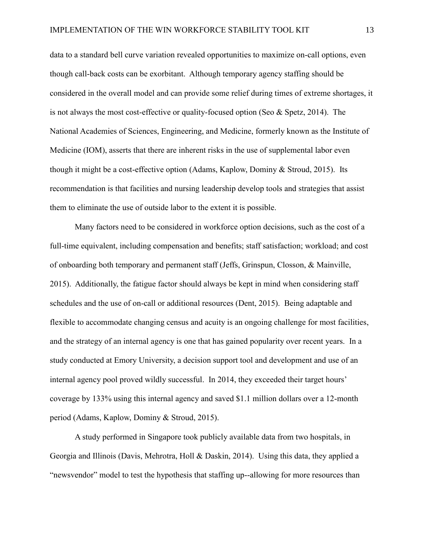data to a standard bell curve variation revealed opportunities to maximize on-call options, even though call-back costs can be exorbitant. Although temporary agency staffing should be considered in the overall model and can provide some relief during times of extreme shortages, it is not always the most cost-effective or quality-focused option (Seo & Spetz, 2014). The National Academies of Sciences, Engineering, and Medicine, formerly known as the Institute of Medicine (IOM), asserts that there are inherent risks in the use of supplemental labor even though it might be a cost-effective option (Adams, Kaplow, Dominy & Stroud, 2015). Its recommendation is that facilities and nursing leadership develop tools and strategies that assist them to eliminate the use of outside labor to the extent it is possible.

Many factors need to be considered in workforce option decisions, such as the cost of a full-time equivalent, including compensation and benefits; staff satisfaction; workload; and cost of onboarding both temporary and permanent staff (Jeffs, Grinspun, Closson, & Mainville, 2015). Additionally, the fatigue factor should always be kept in mind when considering staff schedules and the use of on-call or additional resources (Dent, 2015). Being adaptable and flexible to accommodate changing census and acuity is an ongoing challenge for most facilities, and the strategy of an internal agency is one that has gained popularity over recent years. In a study conducted at Emory University, a decision support tool and development and use of an internal agency pool proved wildly successful. In 2014, they exceeded their target hours' coverage by 133% using this internal agency and saved \$1.1 million dollars over a 12-month period (Adams, Kaplow, Dominy & Stroud, 2015).

A study performed in Singapore took publicly available data from two hospitals, in Georgia and Illinois (Davis, Mehrotra, Holl & Daskin, 2014). Using this data, they applied a "newsvendor" model to test the hypothesis that staffing up--allowing for more resources than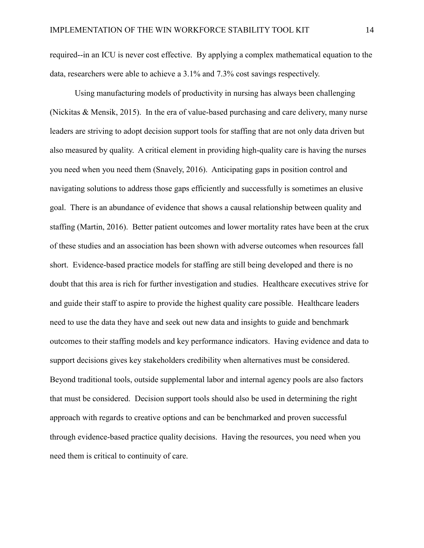required--in an ICU is never cost effective. By applying a complex mathematical equation to the data, researchers were able to achieve a 3.1% and 7.3% cost savings respectively.

Using manufacturing models of productivity in nursing has always been challenging (Nickitas & Mensik, 2015). In the era of value-based purchasing and care delivery, many nurse leaders are striving to adopt decision support tools for staffing that are not only data driven but also measured by quality. A critical element in providing high-quality care is having the nurses you need when you need them (Snavely, 2016). Anticipating gaps in position control and navigating solutions to address those gaps efficiently and successfully is sometimes an elusive goal. There is an abundance of evidence that shows a causal relationship between quality and staffing (Martin, 2016). Better patient outcomes and lower mortality rates have been at the crux of these studies and an association has been shown with adverse outcomes when resources fall short. Evidence-based practice models for staffing are still being developed and there is no doubt that this area is rich for further investigation and studies. Healthcare executives strive for and guide their staff to aspire to provide the highest quality care possible. Healthcare leaders need to use the data they have and seek out new data and insights to guide and benchmark outcomes to their staffing models and key performance indicators. Having evidence and data to support decisions gives key stakeholders credibility when alternatives must be considered. Beyond traditional tools, outside supplemental labor and internal agency pools are also factors that must be considered. Decision support tools should also be used in determining the right approach with regards to creative options and can be benchmarked and proven successful through evidence-based practice quality decisions. Having the resources, you need when you need them is critical to continuity of care.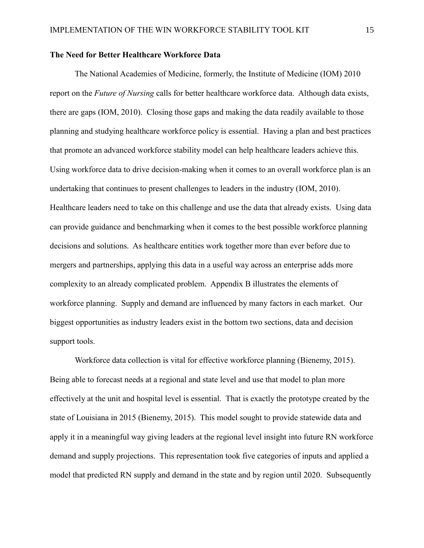#### **The Need for Better Healthcare Workforce Data**

The National Academies of Medicine, formerly, the Institute of Medicine (IOM) 2010 report on the *Future of Nursing* calls for better healthcare workforce data. Although data exists, there are gaps (IOM, 2010). Closing those gaps and making the data readily available to those planning and studying healthcare workforce policy is essential. Having a plan and best practices that promote an advanced workforce stability model can help healthcare leaders achieve this. Using workforce data to drive decision-making when it comes to an overall workforce plan is an undertaking that continues to present challenges to leaders in the industry (IOM, 2010). Healthcare leaders need to take on this challenge and use the data that already exists. Using data can provide guidance and benchmarking when it comes to the best possible workforce planning decisions and solutions. As healthcare entities work together more than ever before due to mergers and partnerships, applying this data in a useful way across an enterprise adds more complexity to an already complicated problem. Appendix B illustrates the elements of workforce planning. Supply and demand are influenced by many factors in each market. Our biggest opportunities as industry leaders exist in the bottom two sections, data and decision support tools.

Workforce data collection is vital for effective workforce planning (Bienemy, 2015). Being able to forecast needs at a regional and state level and use that model to plan more effectively at the unit and hospital level is essential. That is exactly the prototype created by the state of Louisiana in 2015 (Bienemy, 2015). This model sought to provide statewide data and apply it in a meaningful way giving leaders at the regional level insight into future RN workforce demand and supply projections. This representation took five categories of inputs and applied a model that predicted RN supply and demand in the state and by region until 2020. Subsequently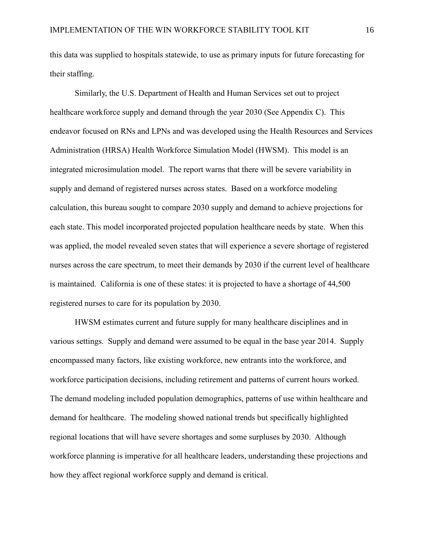this data was supplied to hospitals statewide, to use as primary inputs for future forecasting for their staffing.

Similarly, the U.S. Department of Health and Human Services set out to project healthcare workforce supply and demand through the year 2030 (See Appendix C). This endeavor focused on RNs and LPNs and was developed using the Health Resources and Services Administration (HRSA) Health Workforce Simulation Model (HWSM). This model is an integrated microsimulation model. The report warns that there will be severe variability in supply and demand of registered nurses across states. Based on a workforce modeling calculation, this bureau sought to compare 2030 supply and demand to achieve projections for each state. This model incorporated projected population healthcare needs by state. When this was applied, the model revealed seven states that will experience a severe shortage of registered nurses across the care spectrum, to meet their demands by 2030 if the current level of healthcare is maintained. California is one of these states: it is projected to have a shortage of 44,500 registered nurses to care for its population by 2030.

HWSM estimates current and future supply for many healthcare disciplines and in various settings. Supply and demand were assumed to be equal in the base year 2014. Supply encompassed many factors, like existing workforce, new entrants into the workforce, and workforce participation decisions, including retirement and patterns of current hours worked. The demand modeling included population demographics, patterns of use within healthcare and demand for healthcare. The modeling showed national trends but specifically highlighted regional locations that will have severe shortages and some surpluses by 2030. Although workforce planning is imperative for all healthcare leaders, understanding these projections and how they affect regional workforce supply and demand is critical.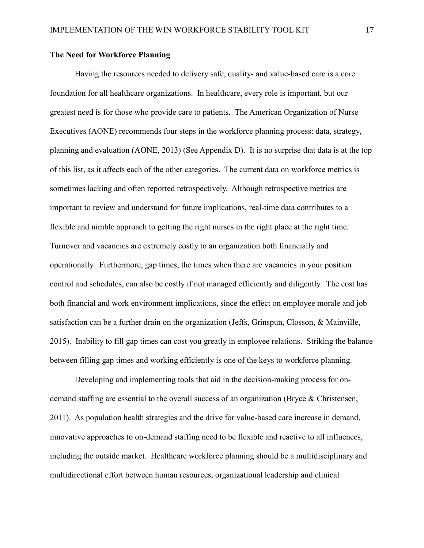#### **The Need for Workforce Planning**

Having the resources needed to delivery safe, quality- and value-based care is a core foundation for all healthcare organizations. In healthcare, every role is important, but our greatest need is for those who provide care to patients. The American Organization of Nurse Executives (AONE) recommends four steps in the workforce planning process: data, strategy, planning and evaluation (AONE, 2013) (See Appendix D). It is no surprise that data is at the top of this list, as it affects each of the other categories. The current data on workforce metrics is sometimes lacking and often reported retrospectively. Although retrospective metrics are important to review and understand for future implications, real-time data contributes to a flexible and nimble approach to getting the right nurses in the right place at the right time. Turnover and vacancies are extremely costly to an organization both financially and operationally. Furthermore, gap times, the times when there are vacancies in your position control and schedules, can also be costly if not managed efficiently and diligently. The cost has both financial and work environment implications, since the effect on employee morale and job satisfaction can be a further drain on the organization (Jeffs, Grinspun, Closson, & Mainville, 2015). Inability to fill gap times can cost you greatly in employee relations. Striking the balance between filling gap times and working efficiently is one of the keys to workforce planning.

Developing and implementing tools that aid in the decision-making process for ondemand staffing are essential to the overall success of an organization (Bryce & Christensen, 2011). As population health strategies and the drive for value-based care increase in demand, innovative approaches to on-demand staffing need to be flexible and reactive to all influences, including the outside market. Healthcare workforce planning should be a multidisciplinary and multidirectional effort between human resources, organizational leadership and clinical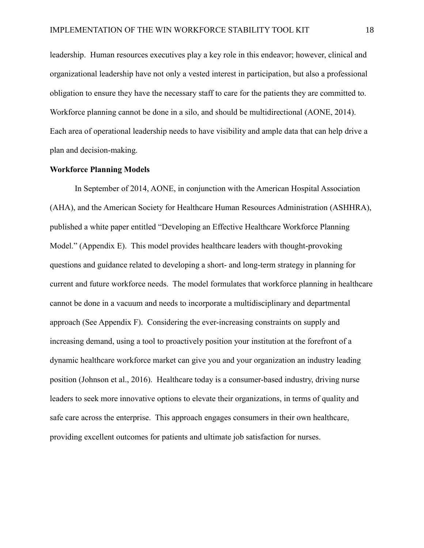leadership. Human resources executives play a key role in this endeavor; however, clinical and organizational leadership have not only a vested interest in participation, but also a professional obligation to ensure they have the necessary staff to care for the patients they are committed to. Workforce planning cannot be done in a silo, and should be multidirectional (AONE, 2014). Each area of operational leadership needs to have visibility and ample data that can help drive a plan and decision-making.

#### **Workforce Planning Models**

In September of 2014, AONE, in conjunction with the American Hospital Association (AHA), and the American Society for Healthcare Human Resources Administration (ASHHRA), published a white paper entitled "Developing an Effective Healthcare Workforce Planning Model." (Appendix E). This model provides healthcare leaders with thought-provoking questions and guidance related to developing a short- and long-term strategy in planning for current and future workforce needs. The model formulates that workforce planning in healthcare cannot be done in a vacuum and needs to incorporate a multidisciplinary and departmental approach (See Appendix F). Considering the ever-increasing constraints on supply and increasing demand, using a tool to proactively position your institution at the forefront of a dynamic healthcare workforce market can give you and your organization an industry leading position (Johnson et al., 2016). Healthcare today is a consumer-based industry, driving nurse leaders to seek more innovative options to elevate their organizations, in terms of quality and safe care across the enterprise. This approach engages consumers in their own healthcare, providing excellent outcomes for patients and ultimate job satisfaction for nurses.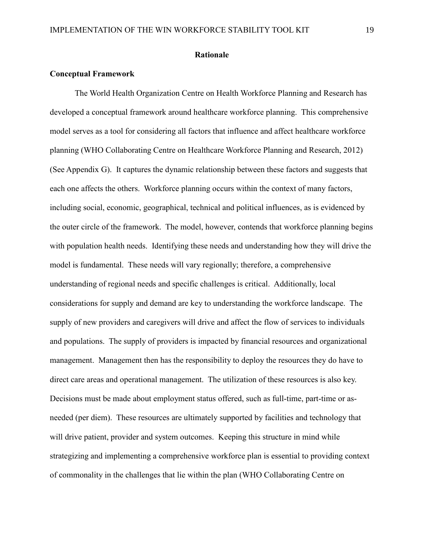#### **Rationale**

#### **Conceptual Framework**

The World Health Organization Centre on Health Workforce Planning and Research has developed a conceptual framework around healthcare workforce planning. This comprehensive model serves as a tool for considering all factors that influence and affect healthcare workforce planning (WHO Collaborating Centre on Healthcare Workforce Planning and Research, 2012) (See Appendix G). It captures the dynamic relationship between these factors and suggests that each one affects the others. Workforce planning occurs within the context of many factors, including social, economic, geographical, technical and political influences, as is evidenced by the outer circle of the framework. The model, however, contends that workforce planning begins with population health needs. Identifying these needs and understanding how they will drive the model is fundamental. These needs will vary regionally; therefore, a comprehensive understanding of regional needs and specific challenges is critical. Additionally, local considerations for supply and demand are key to understanding the workforce landscape. The supply of new providers and caregivers will drive and affect the flow of services to individuals and populations. The supply of providers is impacted by financial resources and organizational management. Management then has the responsibility to deploy the resources they do have to direct care areas and operational management. The utilization of these resources is also key. Decisions must be made about employment status offered, such as full-time, part-time or asneeded (per diem). These resources are ultimately supported by facilities and technology that will drive patient, provider and system outcomes. Keeping this structure in mind while strategizing and implementing a comprehensive workforce plan is essential to providing context of commonality in the challenges that lie within the plan (WHO Collaborating Centre on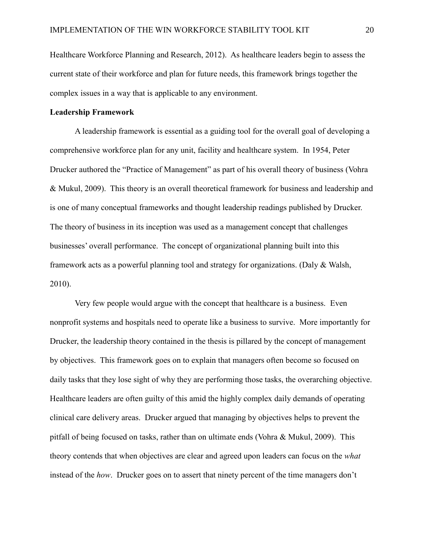Healthcare Workforce Planning and Research, 2012). As healthcare leaders begin to assess the current state of their workforce and plan for future needs, this framework brings together the complex issues in a way that is applicable to any environment.

#### **Leadership Framework**

A leadership framework is essential as a guiding tool for the overall goal of developing a comprehensive workforce plan for any unit, facility and healthcare system. In 1954, Peter Drucker authored the "Practice of Management" as part of his overall theory of business (Vohra & Mukul, 2009). This theory is an overall theoretical framework for business and leadership and is one of many conceptual frameworks and thought leadership readings published by Drucker. The theory of business in its inception was used as a management concept that challenges businesses' overall performance. The concept of organizational planning built into this framework acts as a powerful planning tool and strategy for organizations. (Daly & Walsh, 2010).

Very few people would argue with the concept that healthcare is a business. Even nonprofit systems and hospitals need to operate like a business to survive. More importantly for Drucker, the leadership theory contained in the thesis is pillared by the concept of management by objectives. This framework goes on to explain that managers often become so focused on daily tasks that they lose sight of why they are performing those tasks, the overarching objective. Healthcare leaders are often guilty of this amid the highly complex daily demands of operating clinical care delivery areas. Drucker argued that managing by objectives helps to prevent the pitfall of being focused on tasks, rather than on ultimate ends (Vohra & Mukul, 2009). This theory contends that when objectives are clear and agreed upon leaders can focus on the *what* instead of the *how*. Drucker goes on to assert that ninety percent of the time managers don't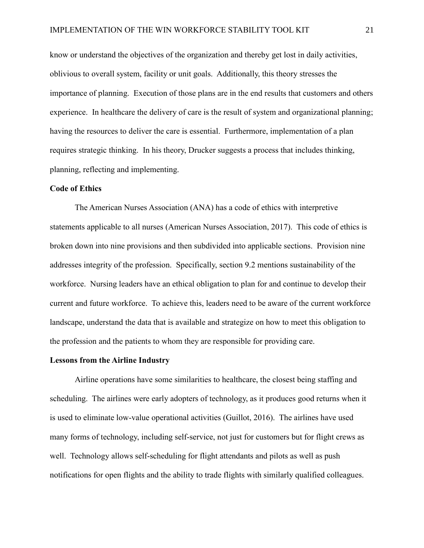know or understand the objectives of the organization and thereby get lost in daily activities, oblivious to overall system, facility or unit goals. Additionally, this theory stresses the importance of planning. Execution of those plans are in the end results that customers and others experience. In healthcare the delivery of care is the result of system and organizational planning; having the resources to deliver the care is essential. Furthermore, implementation of a plan requires strategic thinking. In his theory, Drucker suggests a process that includes thinking, planning, reflecting and implementing.

#### **Code of Ethics**

The American Nurses Association (ANA) has a code of ethics with interpretive statements applicable to all nurses (American Nurses Association, 2017). This code of ethics is broken down into nine provisions and then subdivided into applicable sections. Provision nine addresses integrity of the profession. Specifically, section 9.2 mentions sustainability of the workforce. Nursing leaders have an ethical obligation to plan for and continue to develop their current and future workforce. To achieve this, leaders need to be aware of the current workforce landscape, understand the data that is available and strategize on how to meet this obligation to the profession and the patients to whom they are responsible for providing care.

#### **Lessons from the Airline Industry**

Airline operations have some similarities to healthcare, the closest being staffing and scheduling. The airlines were early adopters of technology, as it produces good returns when it is used to eliminate low-value operational activities (Guillot, 2016). The airlines have used many forms of technology, including self-service, not just for customers but for flight crews as well. Technology allows self-scheduling for flight attendants and pilots as well as push notifications for open flights and the ability to trade flights with similarly qualified colleagues.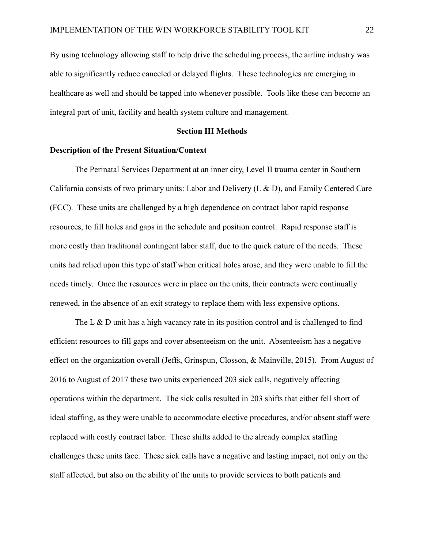By using technology allowing staff to help drive the scheduling process, the airline industry was able to significantly reduce canceled or delayed flights. These technologies are emerging in healthcare as well and should be tapped into whenever possible. Tools like these can become an integral part of unit, facility and health system culture and management.

#### **Section III Methods**

#### **Description of the Present Situation/Context**

The Perinatal Services Department at an inner city, Level II trauma center in Southern California consists of two primary units: Labor and Delivery (L & D), and Family Centered Care (FCC). These units are challenged by a high dependence on contract labor rapid response resources, to fill holes and gaps in the schedule and position control. Rapid response staff is more costly than traditional contingent labor staff, due to the quick nature of the needs. These units had relied upon this type of staff when critical holes arose, and they were unable to fill the needs timely. Once the resources were in place on the units, their contracts were continually renewed, in the absence of an exit strategy to replace them with less expensive options.

The L & D unit has a high vacancy rate in its position control and is challenged to find efficient resources to fill gaps and cover absenteeism on the unit. Absenteeism has a negative effect on the organization overall (Jeffs, Grinspun, Closson, & Mainville, 2015). From August of 2016 to August of 2017 these two units experienced 203 sick calls, negatively affecting operations within the department. The sick calls resulted in 203 shifts that either fell short of ideal staffing, as they were unable to accommodate elective procedures, and/or absent staff were replaced with costly contract labor. These shifts added to the already complex staffing challenges these units face. These sick calls have a negative and lasting impact, not only on the staff affected, but also on the ability of the units to provide services to both patients and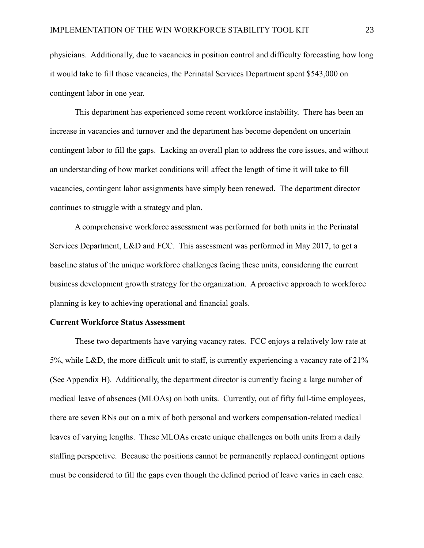physicians. Additionally, due to vacancies in position control and difficulty forecasting how long it would take to fill those vacancies, the Perinatal Services Department spent \$543,000 on contingent labor in one year.

This department has experienced some recent workforce instability. There has been an increase in vacancies and turnover and the department has become dependent on uncertain contingent labor to fill the gaps. Lacking an overall plan to address the core issues, and without an understanding of how market conditions will affect the length of time it will take to fill vacancies, contingent labor assignments have simply been renewed. The department director continues to struggle with a strategy and plan.

A comprehensive workforce assessment was performed for both units in the Perinatal Services Department, L&D and FCC. This assessment was performed in May 2017, to get a baseline status of the unique workforce challenges facing these units, considering the current business development growth strategy for the organization. A proactive approach to workforce planning is key to achieving operational and financial goals.

#### **Current Workforce Status Assessment**

These two departments have varying vacancy rates. FCC enjoys a relatively low rate at 5%, while L&D, the more difficult unit to staff, is currently experiencing a vacancy rate of  $21\%$ (See Appendix H). Additionally, the department director is currently facing a large number of medical leave of absences (MLOAs) on both units. Currently, out of fifty full-time employees, there are seven RNs out on a mix of both personal and workers compensation-related medical leaves of varying lengths. These MLOAs create unique challenges on both units from a daily staffing perspective. Because the positions cannot be permanently replaced contingent options must be considered to fill the gaps even though the defined period of leave varies in each case.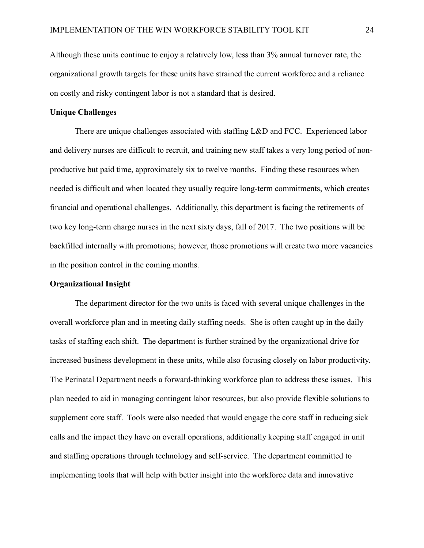Although these units continue to enjoy a relatively low, less than 3% annual turnover rate, the organizational growth targets for these units have strained the current workforce and a reliance on costly and risky contingent labor is not a standard that is desired.

#### **Unique Challenges**

There are unique challenges associated with staffing L&D and FCC. Experienced labor and delivery nurses are difficult to recruit, and training new staff takes a very long period of nonproductive but paid time, approximately six to twelve months. Finding these resources when needed is difficult and when located they usually require long-term commitments, which creates financial and operational challenges. Additionally, this department is facing the retirements of two key long-term charge nurses in the next sixty days, fall of 2017. The two positions will be backfilled internally with promotions; however, those promotions will create two more vacancies in the position control in the coming months.

#### **Organizational Insight**

The department director for the two units is faced with several unique challenges in the overall workforce plan and in meeting daily staffing needs. She is often caught up in the daily tasks of staffing each shift. The department is further strained by the organizational drive for increased business development in these units, while also focusing closely on labor productivity. The Perinatal Department needs a forward-thinking workforce plan to address these issues. This plan needed to aid in managing contingent labor resources, but also provide flexible solutions to supplement core staff. Tools were also needed that would engage the core staff in reducing sick calls and the impact they have on overall operations, additionally keeping staff engaged in unit and staffing operations through technology and self-service. The department committed to implementing tools that will help with better insight into the workforce data and innovative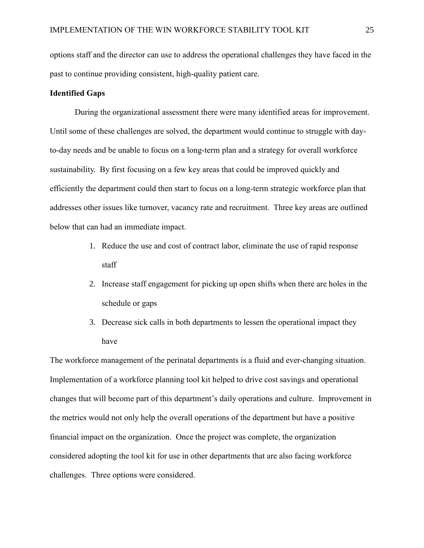options staff and the director can use to address the operational challenges they have faced in the past to continue providing consistent, high-quality patient care.

#### **Identified Gaps**

During the organizational assessment there were many identified areas for improvement. Until some of these challenges are solved, the department would continue to struggle with dayto-day needs and be unable to focus on a long-term plan and a strategy for overall workforce sustainability. By first focusing on a few key areas that could be improved quickly and efficiently the department could then start to focus on a long-term strategic workforce plan that addresses other issues like turnover, vacancy rate and recruitment. Three key areas are outlined below that can had an immediate impact.

- 1. Reduce the use and cost of contract labor, eliminate the use of rapid response staff
- 2. Increase staff engagement for picking up open shifts when there are holes in the schedule or gaps
- 3. Decrease sick calls in both departments to lessen the operational impact they have

The workforce management of the perinatal departments is a fluid and ever-changing situation. Implementation of a workforce planning tool kit helped to drive cost savings and operational changes that will become part of this department's daily operations and culture. Improvement in the metrics would not only help the overall operations of the department but have a positive financial impact on the organization. Once the project was complete, the organization considered adopting the tool kit for use in other departments that are also facing workforce challenges.Three options were considered.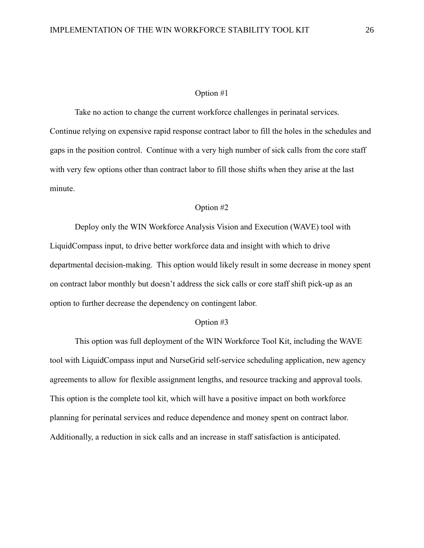#### Option #1

Take no action to change the current workforce challenges in perinatal services. Continue relying on expensive rapid response contract labor to fill the holes in the schedules and gaps in the position control. Continue with a very high number of sick calls from the core staff with very few options other than contract labor to fill those shifts when they arise at the last minute.

#### Option #2

Deploy only the WIN Workforce Analysis Vision and Execution (WAVE) tool with LiquidCompass input, to drive better workforce data and insight with which to drive departmental decision-making. This option would likely result in some decrease in money spent on contract labor monthly but doesn't address the sick calls or core staff shift pick-up as an option to further decrease the dependency on contingent labor.

#### Option #3

This option was full deployment of the WIN Workforce Tool Kit, including the WAVE tool with LiquidCompass input and NurseGrid self-service scheduling application, new agency agreements to allow for flexible assignment lengths, and resource tracking and approval tools. This option is the complete tool kit, which will have a positive impact on both workforce planning for perinatal services and reduce dependence and money spent on contract labor. Additionally, a reduction in sick calls and an increase in staff satisfaction is anticipated.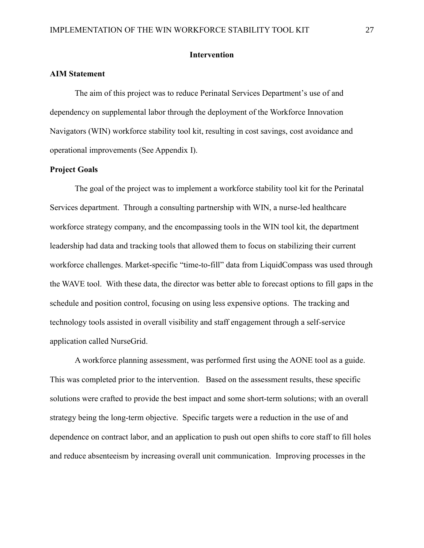#### **Intervention**

#### **AIM Statement**

The aim of this project was to reduce Perinatal Services Department's use of and dependency on supplemental labor through the deployment of the Workforce Innovation Navigators (WIN) workforce stability tool kit, resulting in cost savings, cost avoidance and operational improvements (See Appendix I).

#### **Project Goals**

The goal of the project was to implement a workforce stability tool kit for the Perinatal Services department. Through a consulting partnership with WIN, a nurse-led healthcare workforce strategy company, and the encompassing tools in the WIN tool kit, the department leadership had data and tracking tools that allowed them to focus on stabilizing their current workforce challenges. Market-specific "time-to-fill" data from LiquidCompass was used through the WAVE tool. With these data, the director was better able to forecast options to fill gaps in the schedule and position control, focusing on using less expensive options. The tracking and technology tools assisted in overall visibility and staff engagement through a self-service application called NurseGrid.

A workforce planning assessment, was performed first using the AONE tool as a guide. This was completed prior to the intervention. Based on the assessment results, these specific solutions were crafted to provide the best impact and some short-term solutions; with an overall strategy being the long-term objective. Specific targets were a reduction in the use of and dependence on contract labor, and an application to push out open shifts to core staff to fill holes and reduce absenteeism by increasing overall unit communication. Improving processes in the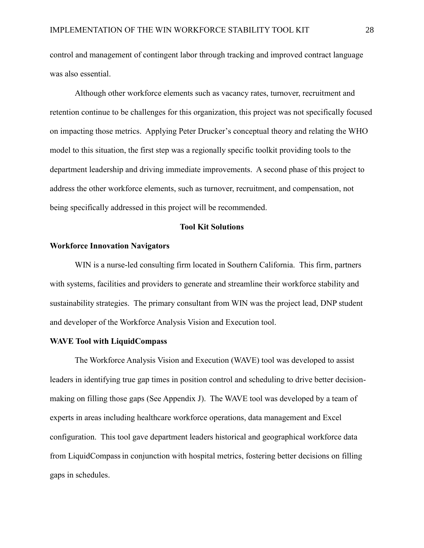control and management of contingent labor through tracking and improved contract language was also essential.

Although other workforce elements such as vacancy rates, turnover, recruitment and retention continue to be challenges for this organization, this project was not specifically focused on impacting those metrics. Applying Peter Drucker's conceptual theory and relating the WHO model to this situation, the first step was a regionally specific toolkit providing tools to the department leadership and driving immediate improvements. A second phase of this project to address the other workforce elements, such as turnover, recruitment, and compensation, not being specifically addressed in this project will be recommended.

#### **Tool Kit Solutions**

#### **Workforce Innovation Navigators**

WIN is a nurse-led consulting firm located in Southern California. This firm, partners with systems, facilities and providers to generate and streamline their workforce stability and sustainability strategies. The primary consultant from WIN was the project lead, DNP student and developer of the Workforce Analysis Vision and Execution tool.

#### **WAVE Tool with LiquidCompass**

The Workforce Analysis Vision and Execution (WAVE) tool was developed to assist leaders in identifying true gap times in position control and scheduling to drive better decisionmaking on filling those gaps (See Appendix J). The WAVE tool was developed by a team of experts in areas including healthcare workforce operations, data management and Excel configuration. This tool gave department leaders historical and geographical workforce data from LiquidCompassin conjunction with hospital metrics, fostering better decisions on filling gaps in schedules.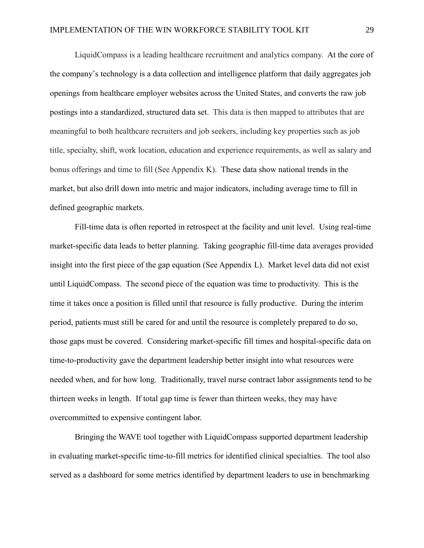LiquidCompass is a leading healthcare recruitment and analytics company. At the core of the company's technology is a data collection and intelligence platform that daily aggregates job openings from healthcare employer websites across the United States, and converts the raw job postings into a standardized, structured data set. This data is then mapped to attributes that are meaningful to both healthcare recruiters and job seekers, including key properties such as job title, specialty, shift, work location, education and experience requirements, as well as salary and bonus offerings and time to fill (See Appendix K). These data show national trends in the market, but also drill down into metric and major indicators, including average time to fill in defined geographic markets.

Fill-time data is often reported in retrospect at the facility and unit level. Using real-time market-specific data leads to better planning. Taking geographic fill-time data averages provided insight into the first piece of the gap equation (See Appendix L). Market level data did not exist until LiquidCompass. The second piece of the equation was time to productivity. This is the time it takes once a position is filled until that resource is fully productive. During the interim period, patients must still be cared for and until the resource is completely prepared to do so, those gaps must be covered. Considering market-specific fill times and hospital-specific data on time-to-productivity gave the department leadership better insight into what resources were needed when, and for how long. Traditionally, travel nurse contract labor assignments tend to be thirteen weeks in length. If total gap time is fewer than thirteen weeks, they may have overcommitted to expensive contingent labor.

Bringing the WAVE tool together with LiquidCompass supported department leadership in evaluating market-specific time-to-fill metrics for identified clinical specialties. The tool also served as a dashboard for some metrics identified by department leaders to use in benchmarking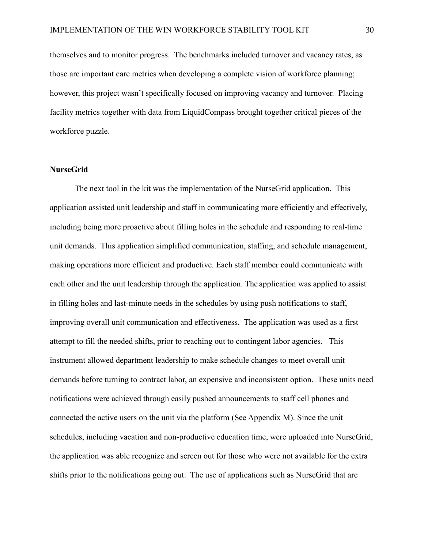themselves and to monitor progress. The benchmarks included turnover and vacancy rates, as those are important care metrics when developing a complete vision of workforce planning; however, this project wasn't specifically focused on improving vacancy and turnover. Placing facility metrics together with data from LiquidCompass brought together critical pieces of the workforce puzzle.

#### **NurseGrid**

The next tool in the kit was the implementation of the NurseGrid application. This application assisted unit leadership and staff in communicating more efficiently and effectively, including being more proactive about filling holes in the schedule and responding to real-time unit demands. This application simplified communication, staffing, and schedule management, making operations more efficient and productive. Each staff member could communicate with each other and the unit leadership through the application. The application was applied to assist in filling holes and last-minute needs in the schedules by using push notifications to staff, improving overall unit communication and effectiveness. The application was used as a first attempt to fill the needed shifts, prior to reaching out to contingent labor agencies. This instrument allowed department leadership to make schedule changes to meet overall unit demands before turning to contract labor, an expensive and inconsistent option. These units need notifications were achieved through easily pushed announcements to staff cell phones and connected the active users on the unit via the platform (See Appendix M). Since the unit schedules, including vacation and non-productive education time, were uploaded into NurseGrid, the application was able recognize and screen out for those who were not available for the extra shifts prior to the notifications going out. The use of applications such as NurseGrid that are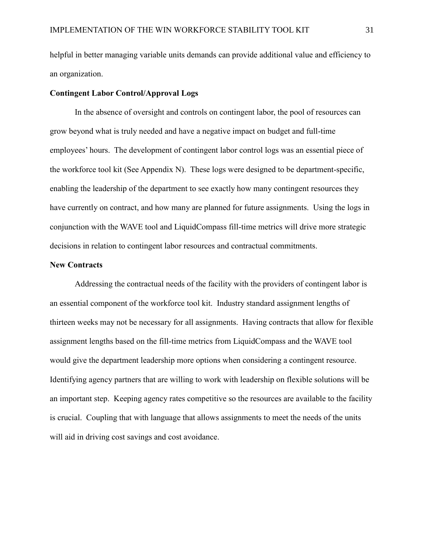helpful in better managing variable units demands can provide additional value and efficiency to an organization.

#### **Contingent Labor Control/Approval Logs**

In the absence of oversight and controls on contingent labor, the pool of resources can grow beyond what is truly needed and have a negative impact on budget and full-time employees' hours. The development of contingent labor control logs was an essential piece of the workforce tool kit (See Appendix N). These logs were designed to be department-specific, enabling the leadership of the department to see exactly how many contingent resources they have currently on contract, and how many are planned for future assignments. Using the logs in conjunction with the WAVE tool and LiquidCompass fill-time metrics will drive more strategic decisions in relation to contingent labor resources and contractual commitments.

#### **New Contracts**

Addressing the contractual needs of the facility with the providers of contingent labor is an essential component of the workforce tool kit. Industry standard assignment lengths of thirteen weeks may not be necessary for all assignments. Having contracts that allow for flexible assignment lengths based on the fill-time metrics from LiquidCompass and the WAVE tool would give the department leadership more options when considering a contingent resource. Identifying agency partners that are willing to work with leadership on flexible solutions will be an important step. Keeping agency rates competitive so the resources are available to the facility is crucial. Coupling that with language that allows assignments to meet the needs of the units will aid in driving cost savings and cost avoidance.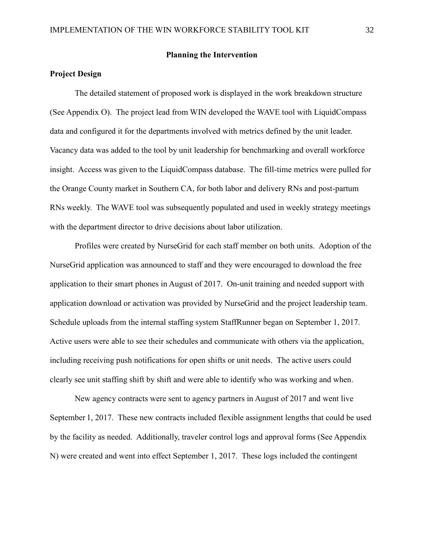#### **Planning the Intervention**

#### **Project Design**

The detailed statement of proposed work is displayed in the work breakdown structure (See Appendix O). The project lead from WIN developed the WAVE tool with LiquidCompass data and configured it for the departments involved with metrics defined by the unit leader. Vacancy data was added to the tool by unit leadership for benchmarking and overall workforce insight. Access was given to the LiquidCompass database. The fill-time metrics were pulled for the Orange County market in Southern CA, for both labor and delivery RNs and post-partum RNs weekly. The WAVE tool was subsequently populated and used in weekly strategy meetings with the department director to drive decisions about labor utilization.

Profiles were created by NurseGrid for each staff member on both units. Adoption of the NurseGrid application was announced to staff and they were encouraged to download the free application to their smart phones in August of 2017. On-unit training and needed support with application download or activation was provided by NurseGrid and the project leadership team. Schedule uploads from the internal staffing system StaffRunner began on September 1, 2017. Active users were able to see their schedules and communicate with others via the application, including receiving push notifications for open shifts or unit needs. The active users could clearly see unit staffing shift by shift and were able to identify who was working and when.

New agency contracts were sent to agency partners in August of 2017 and went live September 1, 2017. These new contracts included flexible assignment lengths that could be used by the facility as needed. Additionally, traveler control logs and approval forms (See Appendix N) were created and went into effect September 1, 2017. These logs included the contingent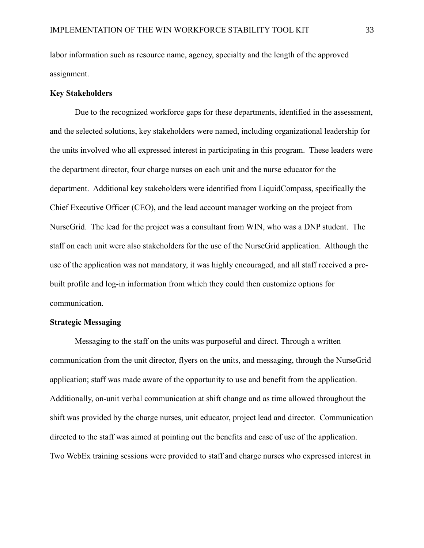labor information such as resource name, agency, specialty and the length of the approved assignment.

#### **Key Stakeholders**

Due to the recognized workforce gaps for these departments, identified in the assessment, and the selected solutions, key stakeholders were named, including organizational leadership for the units involved who all expressed interest in participating in this program. These leaders were the department director, four charge nurses on each unit and the nurse educator for the department. Additional key stakeholders were identified from LiquidCompass, specifically the Chief Executive Officer (CEO), and the lead account manager working on the project from NurseGrid. The lead for the project was a consultant from WIN, who was a DNP student. The staff on each unit were also stakeholders for the use of the NurseGrid application. Although the use of the application was not mandatory, it was highly encouraged, and all staff received a prebuilt profile and log-in information from which they could then customize options for communication.

#### **Strategic Messaging**

Messaging to the staff on the units was purposeful and direct. Through a written communication from the unit director, flyers on the units, and messaging, through the NurseGrid application; staff was made aware of the opportunity to use and benefit from the application. Additionally, on-unit verbal communication at shift change and as time allowed throughout the shift was provided by the charge nurses, unit educator, project lead and director. Communication directed to the staff was aimed at pointing out the benefits and ease of use of the application. Two WebEx training sessions were provided to staff and charge nurses who expressed interest in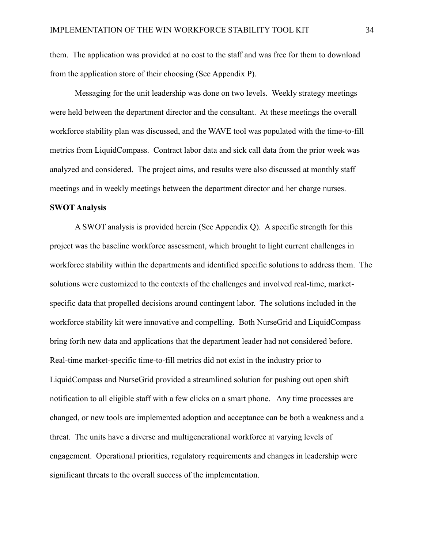them. The application was provided at no cost to the staff and was free for them to download from the application store of their choosing (See Appendix P).

Messaging for the unit leadership was done on two levels. Weekly strategy meetings were held between the department director and the consultant. At these meetings the overall workforce stability plan was discussed, and the WAVE tool was populated with the time-to-fill metrics from LiquidCompass. Contract labor data and sick call data from the prior week was analyzed and considered. The project aims, and results were also discussed at monthly staff meetings and in weekly meetings between the department director and her charge nurses.

#### **SWOT Analysis**

A SWOT analysis is provided herein (See Appendix Q). A specific strength for this project was the baseline workforce assessment, which brought to light current challenges in workforce stability within the departments and identified specific solutions to address them. The solutions were customized to the contexts of the challenges and involved real-time, marketspecific data that propelled decisions around contingent labor. The solutions included in the workforce stability kit were innovative and compelling. Both NurseGrid and LiquidCompass bring forth new data and applications that the department leader had not considered before. Real-time market-specific time-to-fill metrics did not exist in the industry prior to LiquidCompass and NurseGrid provided a streamlined solution for pushing out open shift notification to all eligible staff with a few clicks on a smart phone. Any time processes are changed, or new tools are implemented adoption and acceptance can be both a weakness and a threat. The units have a diverse and multigenerational workforce at varying levels of engagement. Operational priorities, regulatory requirements and changes in leadership were significant threats to the overall success of the implementation.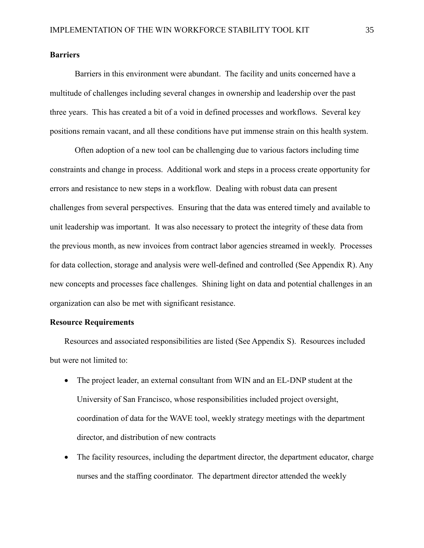#### **Barriers**

Barriers in this environment were abundant. The facility and units concerned have a multitude of challenges including several changes in ownership and leadership over the past three years. This has created a bit of a void in defined processes and workflows. Several key positions remain vacant, and all these conditions have put immense strain on this health system.

Often adoption of a new tool can be challenging due to various factors including time constraints and change in process. Additional work and steps in a process create opportunity for errors and resistance to new steps in a workflow. Dealing with robust data can present challenges from several perspectives. Ensuring that the data was entered timely and available to unit leadership was important. It was also necessary to protect the integrity of these data from the previous month, as new invoices from contract labor agencies streamed in weekly. Processes for data collection, storage and analysis were well-defined and controlled (See Appendix R). Any new concepts and processes face challenges. Shining light on data and potential challenges in an organization can also be met with significant resistance.

#### **Resource Requirements**

Resources and associated responsibilities are listed (See Appendix S). Resources included but were not limited to:

- The project leader, an external consultant from WIN and an EL-DNP student at the University of San Francisco, whose responsibilities included project oversight, coordination of data for the WAVE tool, weekly strategy meetings with the department director, and distribution of new contracts
- The facility resources, including the department director, the department educator, charge nurses and the staffing coordinator. The department director attended the weekly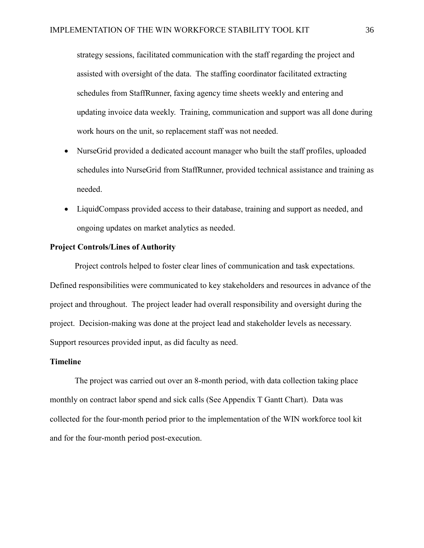strategy sessions, facilitated communication with the staff regarding the project and assisted with oversight of the data. The staffing coordinator facilitated extracting schedules from StaffRunner, faxing agency time sheets weekly and entering and updating invoice data weekly. Training, communication and support was all done during work hours on the unit, so replacement staff was not needed.

- NurseGrid provided a dedicated account manager who built the staff profiles, uploaded schedules into NurseGrid from StaffRunner, provided technical assistance and training as needed.
- LiquidCompass provided access to their database, training and support as needed, and ongoing updates on market analytics as needed.

#### **Project Controls/Lines of Authority**

Project controls helped to foster clear lines of communication and task expectations. Defined responsibilities were communicated to key stakeholders and resources in advance of the project and throughout. The project leader had overall responsibility and oversight during the project. Decision-making was done at the project lead and stakeholder levels as necessary. Support resources provided input, as did faculty as need.

### **Timeline**

The project was carried out over an 8-month period, with data collection taking place monthly on contract labor spend and sick calls (See Appendix T Gantt Chart). Data was collected for the four-month period prior to the implementation of the WIN workforce tool kit and for the four-month period post-execution.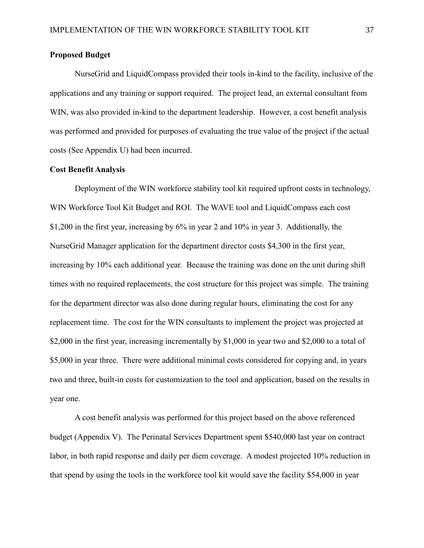#### **Proposed Budget**

NurseGrid and LiquidCompass provided their tools in-kind to the facility, inclusive of the applications and any training or support required. The project lead, an external consultant from WIN, was also provided in-kind to the department leadership. However, a cost benefit analysis was performed and provided for purposes of evaluating the true value of the project if the actual costs (See Appendix U) had been incurred.

#### **Cost Benefit Analysis**

Deployment of the WIN workforce stability tool kit required upfront costs in technology, WIN Workforce Tool Kit Budget and ROI. The WAVE tool and LiquidCompass each cost \$1,200 in the first year, increasing by 6% in year 2 and 10% in year 3. Additionally, the NurseGrid Manager application for the department director costs \$4,300 in the first year, increasing by 10% each additional year. Because the training was done on the unit during shift times with no required replacements, the cost structure for this project was simple. The training for the department director was also done during regular hours, eliminating the cost for any replacement time. The cost for the WIN consultants to implement the project was projected at \$2,000 in the first year, increasing incrementally by \$1,000 in year two and \$2,000 to a total of \$5,000 in year three. There were additional minimal costs considered for copying and, in years two and three, built-in costs for customization to the tool and application, based on the results in year one.

A cost benefit analysis was performed for this project based on the above referenced budget (Appendix V). The Perinatal Services Department spent \$540,000 last year on contract labor, in both rapid response and daily per diem coverage. A modest projected 10% reduction in that spend by using the tools in the workforce tool kit would save the facility \$54,000 in year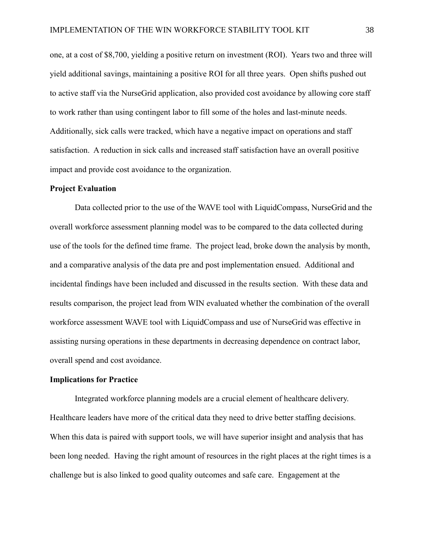one, at a cost of \$8,700, yielding a positive return on investment (ROI). Years two and three will yield additional savings, maintaining a positive ROI for all three years. Open shifts pushed out to active staff via the NurseGrid application, also provided cost avoidance by allowing core staff to work rather than using contingent labor to fill some of the holes and last-minute needs. Additionally, sick calls were tracked, which have a negative impact on operations and staff satisfaction. A reduction in sick calls and increased staff satisfaction have an overall positive impact and provide cost avoidance to the organization.

#### **Project Evaluation**

Data collected prior to the use of the WAVE tool with LiquidCompass, NurseGrid and the overall workforce assessment planning model was to be compared to the data collected during use of the tools for the defined time frame. The project lead, broke down the analysis by month, and a comparative analysis of the data pre and post implementation ensued. Additional and incidental findings have been included and discussed in the results section. With these data and results comparison, the project lead from WIN evaluated whether the combination of the overall workforce assessment WAVE tool with LiquidCompass and use of NurseGrid was effective in assisting nursing operations in these departments in decreasing dependence on contract labor, overall spend and cost avoidance.

#### **Implications for Practice**

Integrated workforce planning models are a crucial element of healthcare delivery. Healthcare leaders have more of the critical data they need to drive better staffing decisions. When this data is paired with support tools, we will have superior insight and analysis that has been long needed. Having the right amount of resources in the right places at the right times is a challenge but is also linked to good quality outcomes and safe care. Engagement at the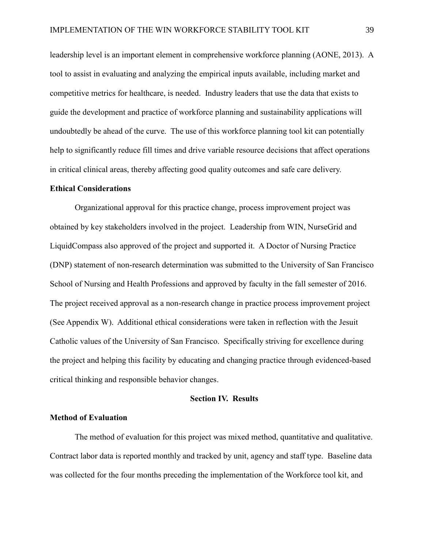leadership level is an important element in comprehensive workforce planning (AONE, 2013). A tool to assist in evaluating and analyzing the empirical inputs available, including market and competitive metrics for healthcare, is needed. Industry leaders that use the data that exists to guide the development and practice of workforce planning and sustainability applications will undoubtedly be ahead of the curve. The use of this workforce planning tool kit can potentially help to significantly reduce fill times and drive variable resource decisions that affect operations in critical clinical areas, thereby affecting good quality outcomes and safe care delivery.

#### **Ethical Considerations**

Organizational approval for this practice change, process improvement project was obtained by key stakeholders involved in the project. Leadership from WIN, NurseGrid and LiquidCompass also approved of the project and supported it. A Doctor of Nursing Practice (DNP) statement of non-research determination was submitted to the University of San Francisco School of Nursing and Health Professions and approved by faculty in the fall semester of 2016. The project received approval as a non-research change in practice process improvement project (See Appendix W). Additional ethical considerations were taken in reflection with the Jesuit Catholic values of the University of San Francisco. Specifically striving for excellence during the project and helping this facility by educating and changing practice through evidenced-based critical thinking and responsible behavior changes.

#### **Section IV. Results**

#### **Method of Evaluation**

The method of evaluation for this project was mixed method, quantitative and qualitative. Contract labor data is reported monthly and tracked by unit, agency and staff type. Baseline data was collected for the four months preceding the implementation of the Workforce tool kit, and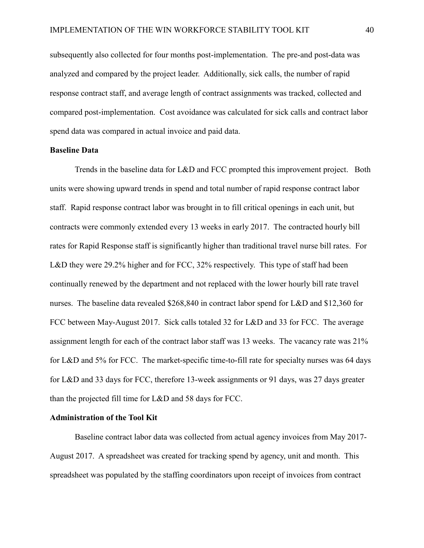subsequently also collected for four months post-implementation. The pre-and post-data was analyzed and compared by the project leader. Additionally, sick calls, the number of rapid response contract staff, and average length of contract assignments was tracked, collected and compared post-implementation. Cost avoidance was calculated for sick calls and contract labor spend data was compared in actual invoice and paid data.

#### **Baseline Data**

Trends in the baseline data for L&D and FCC prompted this improvement project. Both units were showing upward trends in spend and total number of rapid response contract labor staff. Rapid response contract labor was brought in to fill critical openings in each unit, but contracts were commonly extended every 13 weeks in early 2017. The contracted hourly bill rates for Rapid Response staff is significantly higher than traditional travel nurse bill rates. For L&D they were 29.2% higher and for FCC, 32% respectively. This type of staff had been continually renewed by the department and not replaced with the lower hourly bill rate travel nurses. The baseline data revealed \$268,840 in contract labor spend for L&D and \$12,360 for FCC between May-August 2017. Sick calls totaled 32 for L&D and 33 for FCC. The average assignment length for each of the contract labor staff was 13 weeks. The vacancy rate was 21% for L&D and 5% for FCC. The market-specific time-to-fill rate for specialty nurses was 64 days for L&D and 33 days for FCC, therefore 13-week assignments or 91 days, was 27 days greater than the projected fill time for L&D and 58 days for FCC.

#### **Administration of the Tool Kit**

Baseline contract labor data was collected from actual agency invoices from May 2017- August 2017. A spreadsheet was created for tracking spend by agency, unit and month. This spreadsheet was populated by the staffing coordinators upon receipt of invoices from contract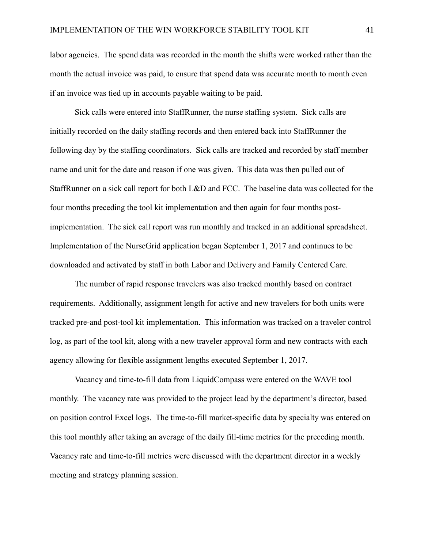labor agencies. The spend data was recorded in the month the shifts were worked rather than the month the actual invoice was paid, to ensure that spend data was accurate month to month even if an invoice was tied up in accounts payable waiting to be paid.

Sick calls were entered into StaffRunner, the nurse staffing system. Sick calls are initially recorded on the daily staffing records and then entered back into StaffRunner the following day by the staffing coordinators. Sick calls are tracked and recorded by staff member name and unit for the date and reason if one was given. This data was then pulled out of StaffRunner on a sick call report for both L&D and FCC. The baseline data was collected for the four months preceding the tool kit implementation and then again for four months postimplementation. The sick call report was run monthly and tracked in an additional spreadsheet. Implementation of the NurseGrid application began September 1, 2017 and continues to be downloaded and activated by staff in both Labor and Delivery and Family Centered Care.

The number of rapid response travelers was also tracked monthly based on contract requirements. Additionally, assignment length for active and new travelers for both units were tracked pre-and post-tool kit implementation. This information was tracked on a traveler control log, as part of the tool kit, along with a new traveler approval form and new contracts with each agency allowing for flexible assignment lengths executed September 1, 2017.

Vacancy and time-to-fill data from LiquidCompass were entered on the WAVE tool monthly. The vacancy rate was provided to the project lead by the department's director, based on position control Excel logs. The time-to-fill market-specific data by specialty was entered on this tool monthly after taking an average of the daily fill-time metrics for the preceding month. Vacancy rate and time-to-fill metrics were discussed with the department director in a weekly meeting and strategy planning session.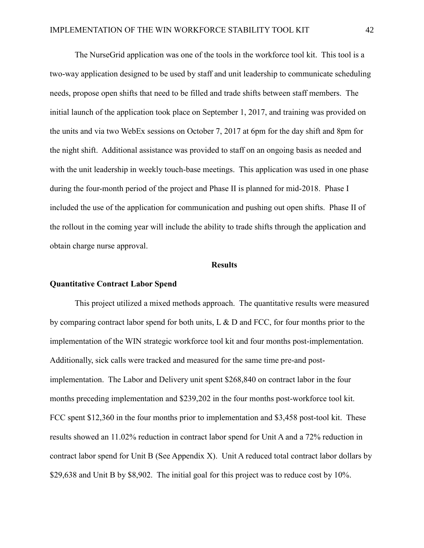The NurseGrid application was one of the tools in the workforce tool kit. This tool is a two-way application designed to be used by staff and unit leadership to communicate scheduling needs, propose open shifts that need to be filled and trade shifts between staff members. The initial launch of the application took place on September 1, 2017, and training was provided on the units and via two WebEx sessions on October 7, 2017 at 6pm for the day shift and 8pm for the night shift. Additional assistance was provided to staff on an ongoing basis as needed and with the unit leadership in weekly touch-base meetings. This application was used in one phase during the four-month period of the project and Phase II is planned for mid-2018. Phase I included the use of the application for communication and pushing out open shifts. Phase II of the rollout in the coming year will include the ability to trade shifts through the application and obtain charge nurse approval.

#### **Results**

#### **Quantitative Contract Labor Spend**

This project utilized a mixed methods approach. The quantitative results were measured by comparing contract labor spend for both units, L & D and FCC, for four months prior to the implementation of the WIN strategic workforce tool kit and four months post-implementation. Additionally, sick calls were tracked and measured for the same time pre-and postimplementation. The Labor and Delivery unit spent \$268,840 on contract labor in the four months preceding implementation and \$239,202 in the four months post-workforce tool kit. FCC spent \$12,360 in the four months prior to implementation and \$3,458 post-tool kit. These results showed an 11.02% reduction in contract labor spend for Unit A and a 72% reduction in contract labor spend for Unit B (See Appendix X). Unit A reduced total contract labor dollars by \$29,638 and Unit B by \$8,902. The initial goal for this project was to reduce cost by 10%.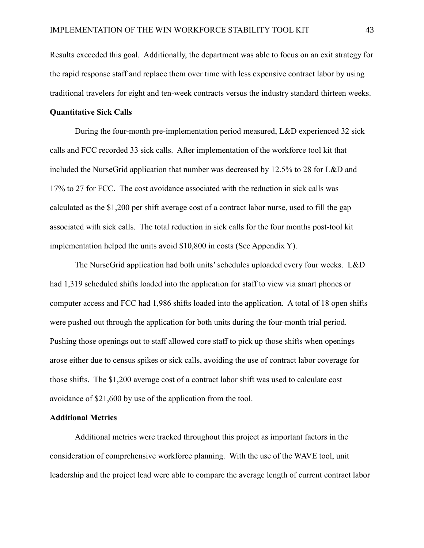Results exceeded this goal. Additionally, the department was able to focus on an exit strategy for the rapid response staff and replace them over time with less expensive contract labor by using traditional travelers for eight and ten-week contracts versus the industry standard thirteen weeks.

#### **Quantitative Sick Calls**

During the four-month pre-implementation period measured, L&D experienced 32 sick calls and FCC recorded 33 sick calls. After implementation of the workforce tool kit that included the NurseGrid application that number was decreased by 12.5% to 28 for L&D and 17% to 27 for FCC. The cost avoidance associated with the reduction in sick calls was calculated as the \$1,200 per shift average cost of a contract labor nurse, used to fill the gap associated with sick calls. The total reduction in sick calls for the four months post-tool kit implementation helped the units avoid \$10,800 in costs (See Appendix Y).

The NurseGrid application had both units'schedules uploaded every four weeks. L&D had 1,319 scheduled shifts loaded into the application for staff to view via smart phones or computer access and FCC had 1,986 shifts loaded into the application. A total of 18 open shifts were pushed out through the application for both units during the four-month trial period. Pushing those openings out to staff allowed core staff to pick up those shifts when openings arose either due to census spikes or sick calls, avoiding the use of contract labor coverage for those shifts. The \$1,200 average cost of a contract labor shift was used to calculate cost avoidance of \$21,600 by use of the application from the tool.

#### **Additional Metrics**

Additional metrics were tracked throughout this project as important factors in the consideration of comprehensive workforce planning. With the use of the WAVE tool, unit leadership and the project lead were able to compare the average length of current contract labor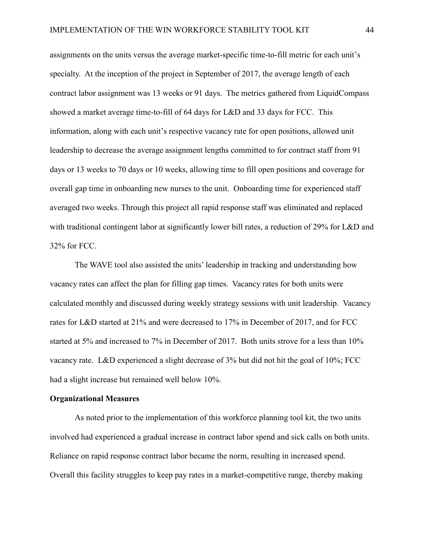assignments on the units versus the average market-specific time-to-fill metric for each unit's specialty. At the inception of the project in September of 2017, the average length of each contract labor assignment was 13 weeks or 91 days. The metrics gathered from LiquidCompass showed a market average time-to-fill of 64 days for L&D and 33 days for FCC. This information, along with each unit's respective vacancy rate for open positions, allowed unit leadership to decrease the average assignment lengths committed to for contract staff from 91 days or 13 weeks to 70 days or 10 weeks, allowing time to fill open positions and coverage for overall gap time in onboarding new nurses to the unit. Onboarding time for experienced staff averaged two weeks. Through this project all rapid response staff was eliminated and replaced with traditional contingent labor at significantly lower bill rates, a reduction of 29% for L&D and 32% for FCC.

The WAVE tool also assisted the units' leadership in tracking and understanding how vacancy rates can affect the plan for filling gap times. Vacancy rates for both units were calculated monthly and discussed during weekly strategy sessions with unit leadership. Vacancy rates for L&D started at 21% and were decreased to 17% in December of 2017, and for FCC started at 5% and increased to 7% in December of 2017. Both units strove for a less than 10% vacancy rate. L&D experienced a slight decrease of 3% but did not hit the goal of 10%; FCC had a slight increase but remained well below 10%.

#### **Organizational Measures**

As noted prior to the implementation of this workforce planning tool kit, the two units involved had experienced a gradual increase in contract labor spend and sick calls on both units. Reliance on rapid response contract labor became the norm, resulting in increased spend. Overall this facility struggles to keep pay rates in a market-competitive range, thereby making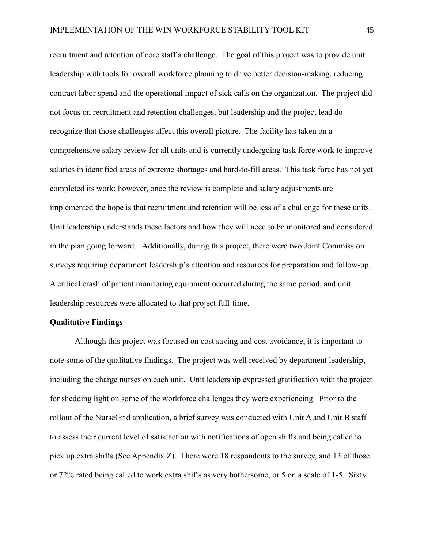recruitment and retention of core staff a challenge. The goal of this project was to provide unit leadership with tools for overall workforce planning to drive better decision-making, reducing contract labor spend and the operational impact of sick calls on the organization. The project did not focus on recruitment and retention challenges, but leadership and the project lead do recognize that those challenges affect this overall picture. The facility has taken on a comprehensive salary review for all units and is currently undergoing task force work to improve salaries in identified areas of extreme shortages and hard-to-fill areas. This task force has not yet completed its work; however, once the review is complete and salary adjustments are implemented the hope is that recruitment and retention will be less of a challenge for these units. Unit leadership understands these factors and how they will need to be monitored and considered in the plan going forward. Additionally, during this project, there were two Joint Commission surveys requiring department leadership's attention and resources for preparation and follow-up. A critical crash of patient monitoring equipment occurred during the same period, and unit leadership resources were allocated to that project full-time.

#### **Qualitative Findings**

Although this project was focused on cost saving and cost avoidance, it is important to note some of the qualitative findings. The project was well received by department leadership, including the charge nurses on each unit. Unit leadership expressed gratification with the project for shedding light on some of the workforce challenges they were experiencing. Prior to the rollout of the NurseGrid application, a brief survey was conducted with Unit A and Unit B staff to assess their current level of satisfaction with notifications of open shifts and being called to pick up extra shifts (See Appendix Z). There were 18 respondents to the survey, and 13 of those or 72% rated being called to work extra shifts as very bothersome, or 5 on a scale of 1-5. Sixty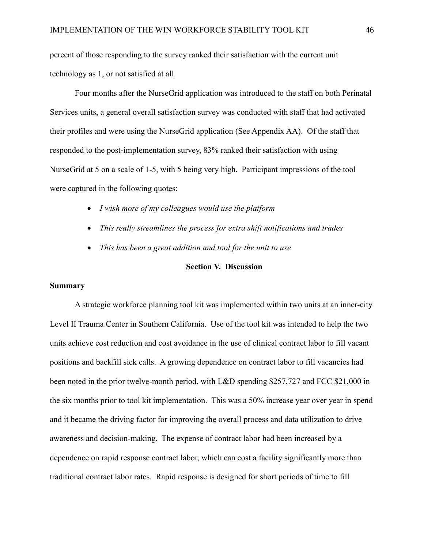percent of those responding to the survey ranked their satisfaction with the current unit technology as 1, or not satisfied at all.

Four months after the NurseGrid application was introduced to the staff on both Perinatal Services units, a general overall satisfaction survey was conducted with staff that had activated their profiles and were using the NurseGrid application (See Appendix AA). Of the staff that responded to the post-implementation survey, 83% ranked their satisfaction with using NurseGrid at 5 on a scale of 1-5, with 5 being very high. Participant impressions of the tool were captured in the following quotes:

- *I wish more of my colleagues would use the platform*
- *This really streamlines the process for extra shift notifications and trades*
- *This has been a great addition and tool for the unit to use*

#### **Section V. Discussion**

#### **Summary**

A strategic workforce planning tool kit was implemented within two units at an inner-city Level II Trauma Center in Southern California. Use of the tool kit was intended to help the two units achieve cost reduction and cost avoidance in the use of clinical contract labor to fill vacant positions and backfill sick calls. A growing dependence on contract labor to fill vacancies had been noted in the prior twelve-month period, with L&D spending \$257,727 and FCC \$21,000 in the six months prior to tool kit implementation. This was a 50% increase year over year in spend and it became the driving factor for improving the overall process and data utilization to drive awareness and decision-making. The expense of contract labor had been increased by a dependence on rapid response contract labor, which can cost a facility significantly more than traditional contract labor rates. Rapid response is designed for short periods of time to fill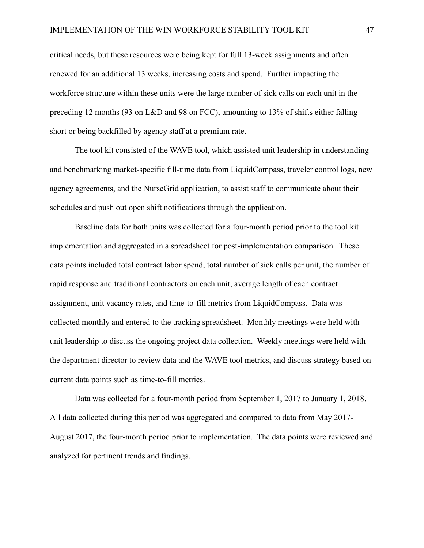critical needs, but these resources were being kept for full 13-week assignments and often renewed for an additional 13 weeks, increasing costs and spend. Further impacting the workforce structure within these units were the large number of sick calls on each unit in the preceding 12 months (93 on L&D and 98 on FCC), amounting to 13% of shifts either falling short or being backfilled by agency staff at a premium rate.

The tool kit consisted of the WAVE tool, which assisted unit leadership in understanding and benchmarking market-specific fill-time data from LiquidCompass, traveler control logs, new agency agreements, and the NurseGrid application, to assist staff to communicate about their schedules and push out open shift notifications through the application.

Baseline data for both units was collected for a four-month period prior to the tool kit implementation and aggregated in a spreadsheet for post-implementation comparison. These data points included total contract labor spend, total number of sick calls per unit, the number of rapid response and traditional contractors on each unit, average length of each contract assignment, unit vacancy rates, and time-to-fill metrics from LiquidCompass. Data was collected monthly and entered to the tracking spreadsheet. Monthly meetings were held with unit leadership to discuss the ongoing project data collection. Weekly meetings were held with the department director to review data and the WAVE tool metrics, and discuss strategy based on current data points such as time-to-fill metrics.

Data was collected for a four-month period from September 1, 2017 to January 1, 2018. All data collected during this period was aggregated and compared to data from May 2017- August 2017, the four-month period prior to implementation. The data points were reviewed and analyzed for pertinent trends and findings.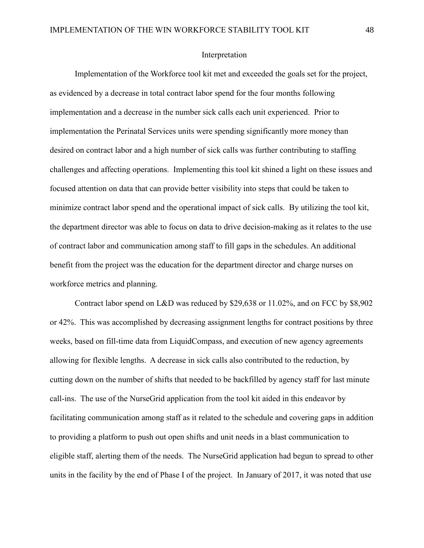#### Interpretation

Implementation of the Workforce tool kit met and exceeded the goals set for the project, as evidenced by a decrease in total contract labor spend for the four months following implementation and a decrease in the number sick calls each unit experienced. Prior to implementation the Perinatal Services units were spending significantly more money than desired on contract labor and a high number of sick calls was further contributing to staffing challenges and affecting operations. Implementing this tool kit shined a light on these issues and focused attention on data that can provide better visibility into steps that could be taken to minimize contract labor spend and the operational impact of sick calls. By utilizing the tool kit, the department director was able to focus on data to drive decision-making as it relates to the use of contract labor and communication among staff to fill gaps in the schedules. An additional benefit from the project was the education for the department director and charge nurses on workforce metrics and planning.

Contract labor spend on L&D was reduced by \$29,638 or 11.02%, and on FCC by \$8,902 or 42%. This was accomplished by decreasing assignment lengths for contract positions by three weeks, based on fill-time data from LiquidCompass, and execution of new agency agreements allowing for flexible lengths. A decrease in sick calls also contributed to the reduction, by cutting down on the number of shifts that needed to be backfilled by agency staff for last minute call-ins. The use of the NurseGrid application from the tool kit aided in this endeavor by facilitating communication among staff as it related to the schedule and covering gaps in addition to providing a platform to push out open shifts and unit needs in a blast communication to eligible staff, alerting them of the needs. The NurseGrid application had begun to spread to other units in the facility by the end of Phase I of the project. In January of 2017, it was noted that use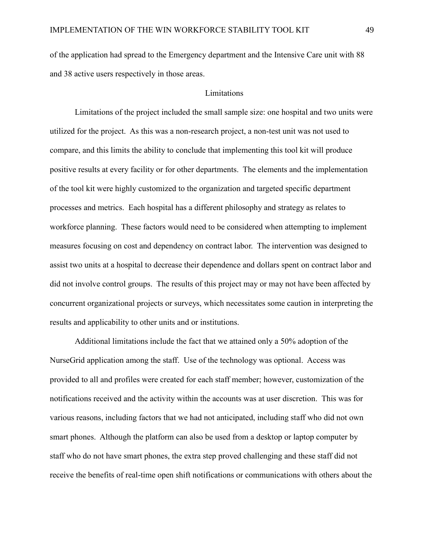of the application had spread to the Emergency department and the Intensive Care unit with 88 and 38 active users respectively in those areas.

#### Limitations

Limitations of the project included the small sample size: one hospital and two units were utilized for the project. As this was a non-research project, a non-test unit was not used to compare, and this limits the ability to conclude that implementing this tool kit will produce positive results at every facility or for other departments. The elements and the implementation of the tool kit were highly customized to the organization and targeted specific department processes and metrics. Each hospital has a different philosophy and strategy as relates to workforce planning. These factors would need to be considered when attempting to implement measures focusing on cost and dependency on contract labor. The intervention was designed to assist two units at a hospital to decrease their dependence and dollars spent on contract labor and did not involve control groups. The results of this project may or may not have been affected by concurrent organizational projects or surveys, which necessitates some caution in interpreting the results and applicability to other units and or institutions.

Additional limitations include the fact that we attained only a 50% adoption of the NurseGrid application among the staff. Use of the technology was optional. Access was provided to all and profiles were created for each staff member; however, customization of the notifications received and the activity within the accounts was at user discretion. This was for various reasons, including factors that we had not anticipated, including staff who did not own smart phones. Although the platform can also be used from a desktop or laptop computer by staff who do not have smart phones, the extra step proved challenging and these staff did not receive the benefits of real-time open shift notifications or communications with others about the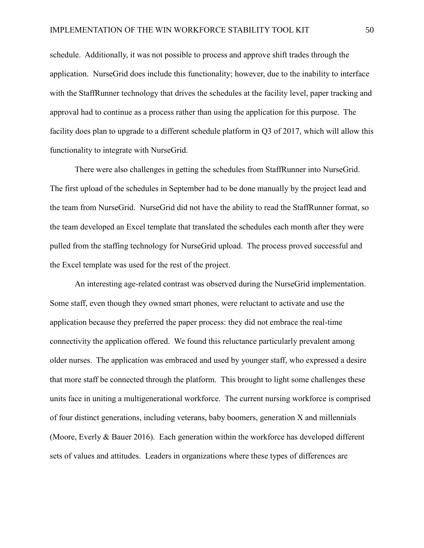schedule. Additionally, it was not possible to process and approve shift trades through the application. NurseGrid does include this functionality; however, due to the inability to interface with the StaffRunner technology that drives the schedules at the facility level, paper tracking and approval had to continue as a process rather than using the application for this purpose. The facility does plan to upgrade to a different schedule platform in Q3 of 2017, which will allow this functionality to integrate with NurseGrid.

There were also challenges in getting the schedules from StaffRunner into NurseGrid. The first upload of the schedules in September had to be done manually by the project lead and the team from NurseGrid. NurseGrid did not have the ability to read the StaffRunner format, so the team developed an Excel template that translated the schedules each month after they were pulled from the staffing technology for NurseGrid upload. The process proved successful and the Excel template was used for the rest of the project.

An interesting age-related contrast was observed during the NurseGrid implementation. Some staff, even though they owned smart phones, were reluctant to activate and use the application because they preferred the paper process: they did not embrace the real-time connectivity the application offered. We found this reluctance particularly prevalent among older nurses. The application was embraced and used by younger staff, who expressed a desire that more staff be connected through the platform. This brought to light some challenges these units face in uniting a multigenerational workforce. The current nursing workforce is comprised of four distinct generations, including veterans, baby boomers, generation X and millennials (Moore, Everly & Bauer 2016). Each generation within the workforce has developed different sets of values and attitudes. Leaders in organizations where these types of differences are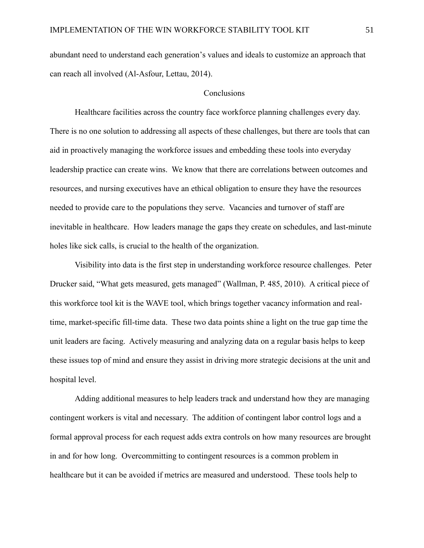abundant need to understand each generation's values and ideals to customize an approach that can reach all involved (Al-Asfour, Lettau, 2014).

#### Conclusions

Healthcare facilities across the country face workforce planning challenges every day. There is no one solution to addressing all aspects of these challenges, but there are tools that can aid in proactively managing the workforce issues and embedding these tools into everyday leadership practice can create wins. We know that there are correlations between outcomes and resources, and nursing executives have an ethical obligation to ensure they have the resources needed to provide care to the populations they serve. Vacancies and turnover of staff are inevitable in healthcare. How leaders manage the gaps they create on schedules, and last-minute holes like sick calls, is crucial to the health of the organization.

Visibility into data is the first step in understanding workforce resource challenges. Peter Drucker said, "What gets measured, gets managed" (Wallman, P. 485, 2010). A critical piece of this workforce tool kit is the WAVE tool, which brings together vacancy information and realtime, market-specific fill-time data. These two data points shine a light on the true gap time the unit leaders are facing. Actively measuring and analyzing data on a regular basis helps to keep these issues top of mind and ensure they assist in driving more strategic decisions at the unit and hospital level.

Adding additional measures to help leaders track and understand how they are managing contingent workers is vital and necessary. The addition of contingent labor control logs and a formal approval process for each request adds extra controls on how many resources are brought in and for how long. Overcommitting to contingent resources is a common problem in healthcare but it can be avoided if metrics are measured and understood. These tools help to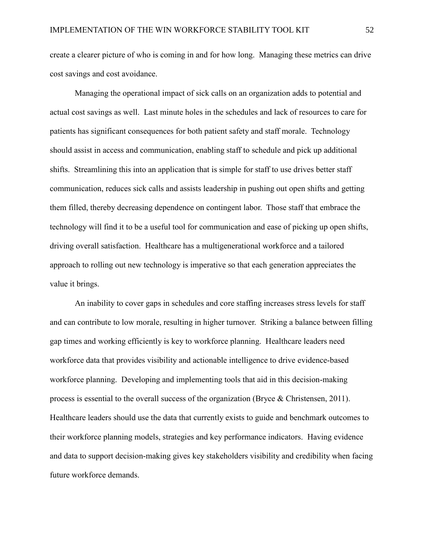create a clearer picture of who is coming in and for how long. Managing these metrics can drive cost savings and cost avoidance.

Managing the operational impact of sick calls on an organization adds to potential and actual cost savings as well. Last minute holes in the schedules and lack of resources to care for patients has significant consequences for both patient safety and staff morale. Technology should assist in access and communication, enabling staff to schedule and pick up additional shifts. Streamlining this into an application that is simple for staff to use drives better staff communication, reduces sick calls and assists leadership in pushing out open shifts and getting them filled, thereby decreasing dependence on contingent labor. Those staff that embrace the technology will find it to be a useful tool for communication and ease of picking up open shifts, driving overall satisfaction. Healthcare has a multigenerational workforce and a tailored approach to rolling out new technology is imperative so that each generation appreciates the value it brings.

An inability to cover gaps in schedules and core staffing increases stress levels for staff and can contribute to low morale, resulting in higher turnover. Striking a balance between filling gap times and working efficiently is key to workforce planning. Healthcare leaders need workforce data that provides visibility and actionable intelligence to drive evidence-based workforce planning. Developing and implementing tools that aid in this decision-making process is essential to the overall success of the organization (Bryce & Christensen, 2011). Healthcare leaders should use the data that currently exists to guide and benchmark outcomes to their workforce planning models, strategies and key performance indicators. Having evidence and data to support decision-making gives key stakeholders visibility and credibility when facing future workforce demands.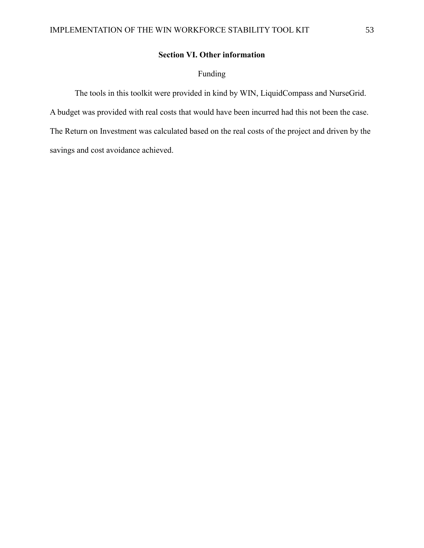## **Section VI. Other information**

## Funding

The tools in this toolkit were provided in kind by WIN, LiquidCompass and NurseGrid. A budget was provided with real costs that would have been incurred had this not been the case. The Return on Investment was calculated based on the real costs of the project and driven by the savings and cost avoidance achieved.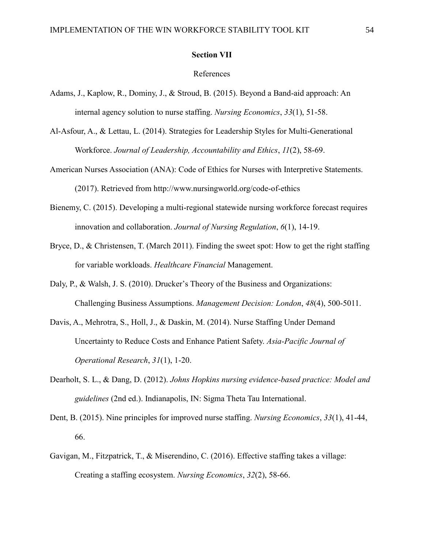#### **Section VII**

#### References

- Adams, J., Kaplow, R., Dominy, J., & Stroud, B. (2015). Beyond a Band-aid approach: An internal agency solution to nurse staffing. *Nursing Economics*, *33*(1), 51-58.
- Al-Asfour, A., & Lettau, L. (2014). Strategies for Leadership Styles for Multi-Generational Workforce. *Journal of Leadership, Accountability and Ethics*, *11*(2), 58-69.
- American Nurses Association (ANA): Code of Ethics for Nurses with Interpretive Statements. (2017). Retrieved from http://www.nursingworld.org/code-of-ethics
- Bienemy, C. (2015). Developing a multi-regional statewide nursing workforce forecast requires innovation and collaboration. *Journal of Nursing Regulation*, *6*(1), 14-19.
- Bryce, D., & Christensen, T. (March 2011). Finding the sweet spot: How to get the right staffing for variable workloads. *Healthcare Financial* Management.
- Daly, P., & Walsh, J. S. (2010). Drucker's Theory of the Business and Organizations: Challenging Business Assumptions. *Management Decision: London*, *48*(4), 500-5011.
- Davis, A., Mehrotra, S., Holl, J., & Daskin, M. (2014). Nurse Staffing Under Demand Uncertainty to Reduce Costs and Enhance Patient Safety. *Asia-Pacific Journal of Operational Research*, *31*(1), 1-20.
- Dearholt, S. L., & Dang, D. (2012). *Johns Hopkins nursing evidence-based practice: Model and guidelines* (2nd ed.). Indianapolis, IN: Sigma Theta Tau International.
- Dent, B. (2015). Nine principles for improved nurse staffing. *Nursing Economics*, *33*(1), 41-44, 66.
- Gavigan, M., Fitzpatrick, T., & Miserendino, C. (2016). Effective staffing takes a village: Creating a staffing ecosystem. *Nursing Economics*, *32*(2), 58-66.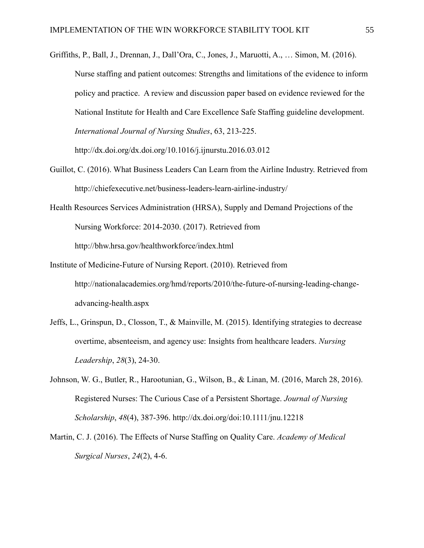- Griffiths, P., Ball, J., Drennan, J., Dall'Ora, C., Jones, J., Maruotti, A., … Simon, M. (2016). Nurse staffing and patient outcomes: Strengths and limitations of the evidence to inform policy and practice. A review and discussion paper based on evidence reviewed for the National Institute for Health and Care Excellence Safe Staffing guideline development. *International Journal of Nursing Studies*, 63, 213-225. http://dx.doi.org/dx.doi.org/10.1016/j.ijnurstu.2016.03.012
- Guillot, C. (2016). What Business Leaders Can Learn from the Airline Industry. Retrieved from http://chiefexecutive.net/business-leaders-learn-airline-industry/
- Health Resources Services Administration (HRSA), Supply and Demand Projections of the Nursing Workforce: 2014-2030. (2017). Retrieved from http://bhw.hrsa.gov/healthworkforce/index.html
- Institute of Medicine-Future of Nursing Report. (2010). Retrieved from http://nationalacademies.org/hmd/reports/2010/the-future-of-nursing-leading-changeadvancing-health.aspx
- Jeffs, L., Grinspun, D., Closson, T., & Mainville, M. (2015). Identifying strategies to decrease overtime, absenteeism, and agency use: Insights from healthcare leaders. *Nursing Leadership*, *28*(3), 24-30.
- Johnson, W. G., Butler, R., Harootunian, G., Wilson, B., & Linan, M. (2016, March 28, 2016). Registered Nurses: The Curious Case of a Persistent Shortage. *Journal of Nursing Scholarship*, *48*(4), 387-396. http://dx.doi.org/doi:10.1111/jnu.12218
- Martin, C. J. (2016). The Effects of Nurse Staffing on Quality Care. *Academy of Medical Surgical Nurses*, *24*(2), 4-6.